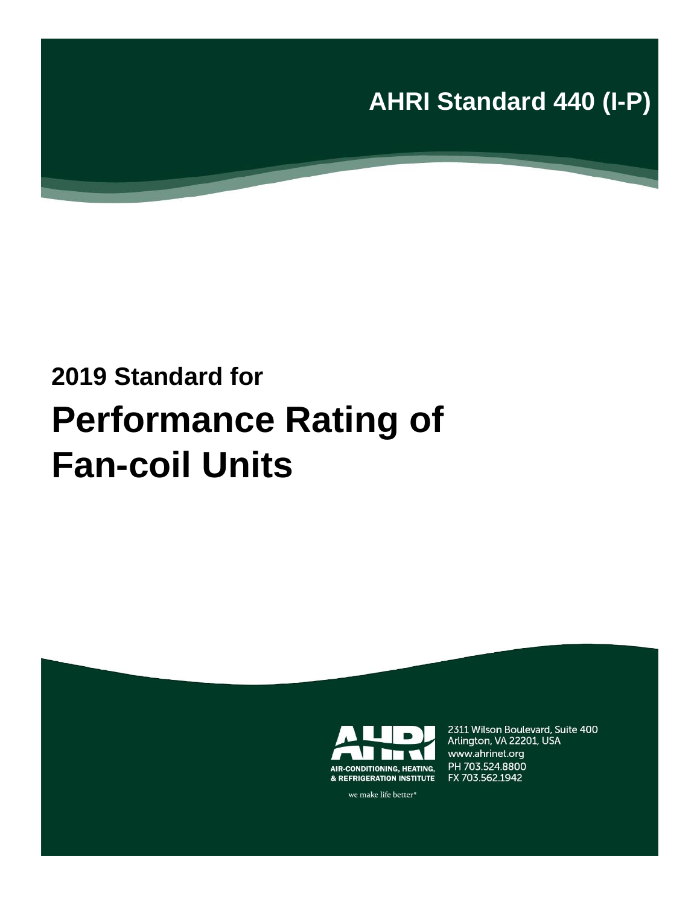**AHRI Standard 440 (I-P)** 

# **2019 Standard for Performance Rating of Fan-coil Units**



2311 Wilson Boulevard, Suite 400 Arlington, VA 22201, USA www.ahrinet.org PH 703.524.8800 FX 703.562.1942

we make life better<sup>®</sup>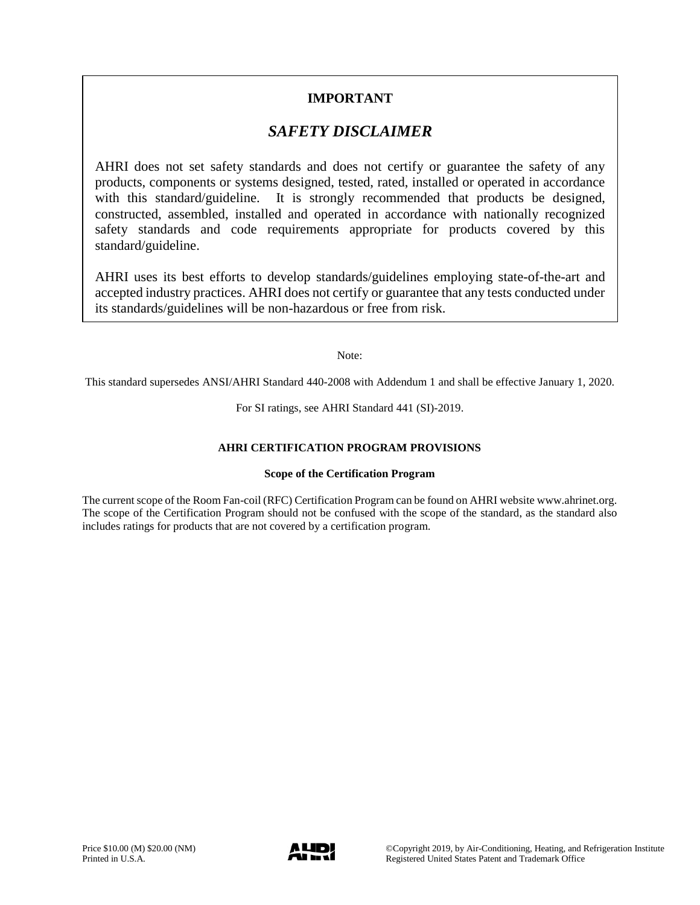### **IMPORTANT**

# *SAFETY DISCLAIMER*

AHRI does not set safety standards and does not certify or guarantee the safety of any products, components or systems designed, tested, rated, installed or operated in accordance with this standard/guideline. It is strongly recommended that products be designed, constructed, assembled, installed and operated in accordance with nationally recognized safety standards and code requirements appropriate for products covered by this standard/guideline.

AHRI uses its best efforts to develop standards/guidelines employing state-of-the-art and accepted industry practices. AHRI does not certify or guarantee that any tests conducted under its standards/guidelines will be non-hazardous or free from risk.

Note:

This standard supersedes ANSI/AHRI Standard 440-2008 with Addendum 1 and shall be effective January 1, 2020.

For SI ratings, see AHRI Standard 441 (SI)-2019.

#### **AHRI CERTIFICATION PROGRAM PROVISIONS**

#### **Scope of the Certification Program**

The current scope of the Room Fan-coil (RFC) Certification Program can be found on AHRI website www.ahrinet.org. The scope of the Certification Program should not be confused with the scope of the standard, as the standard also includes ratings for products that are not covered by a certification program.

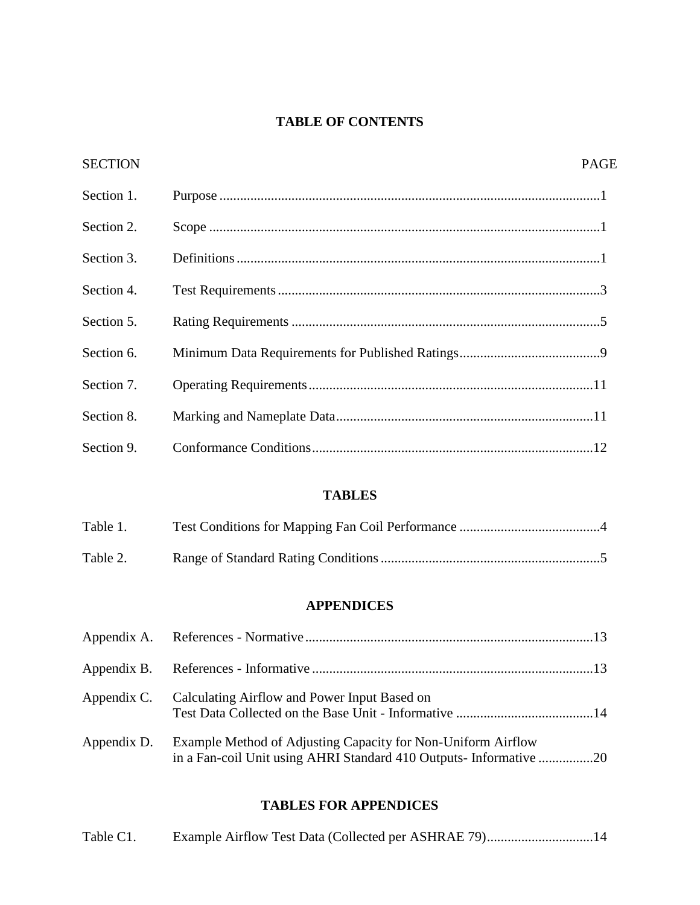### **TABLE OF CONTENTS**

| <b>SECTION</b> | <b>PAGE</b> |
|----------------|-------------|
| Section 1.     |             |
| Section 2.     |             |
| Section 3.     |             |
| Section 4.     |             |
| Section 5.     |             |
| Section 6.     |             |
| Section 7.     |             |
| Section 8.     |             |
| Section 9.     |             |

### **TABLES**

| Table 1. |  |
|----------|--|
| Table 2. |  |

# **APPENDICES**

|             | Appendix C. Calculating Airflow and Power Input Based on                                                                           |  |
|-------------|------------------------------------------------------------------------------------------------------------------------------------|--|
| Appendix D. | Example Method of Adjusting Capacity for Non-Uniform Airflow<br>in a Fan-coil Unit using AHRI Standard 410 Outputs- Informative 20 |  |

### **TABLES FOR APPENDICES**

| Table C1. |  |  |
|-----------|--|--|
|-----------|--|--|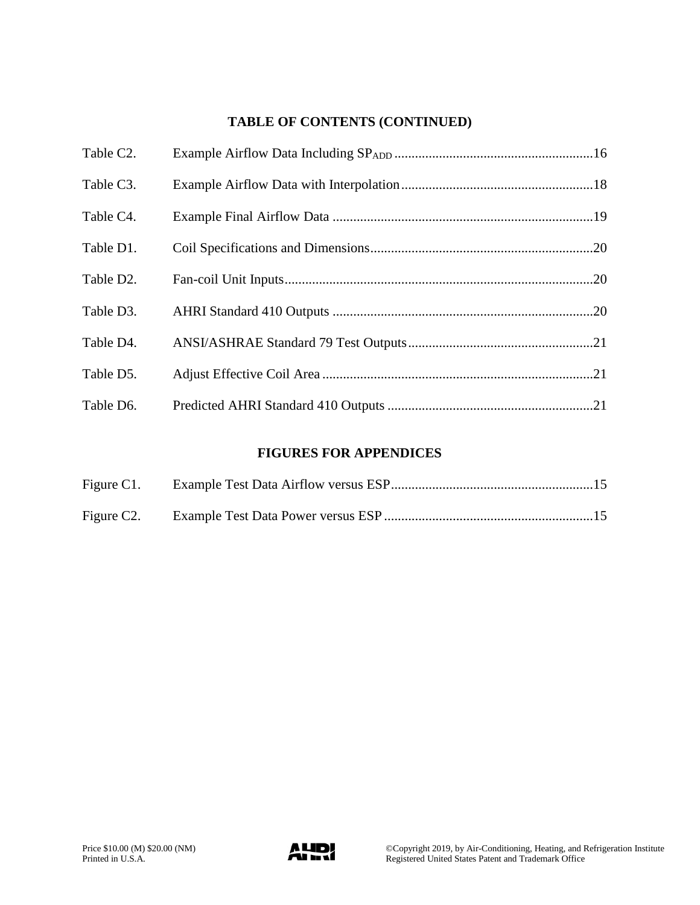# **TABLE OF CONTENTS (CONTINUED)**

| Table C2. |  |
|-----------|--|
| Table C3. |  |
| Table C4. |  |
| Table D1. |  |
| Table D2. |  |
| Table D3. |  |
| Table D4. |  |
| Table D5. |  |
| Table D6. |  |

### **FIGURES FOR APPENDICES**

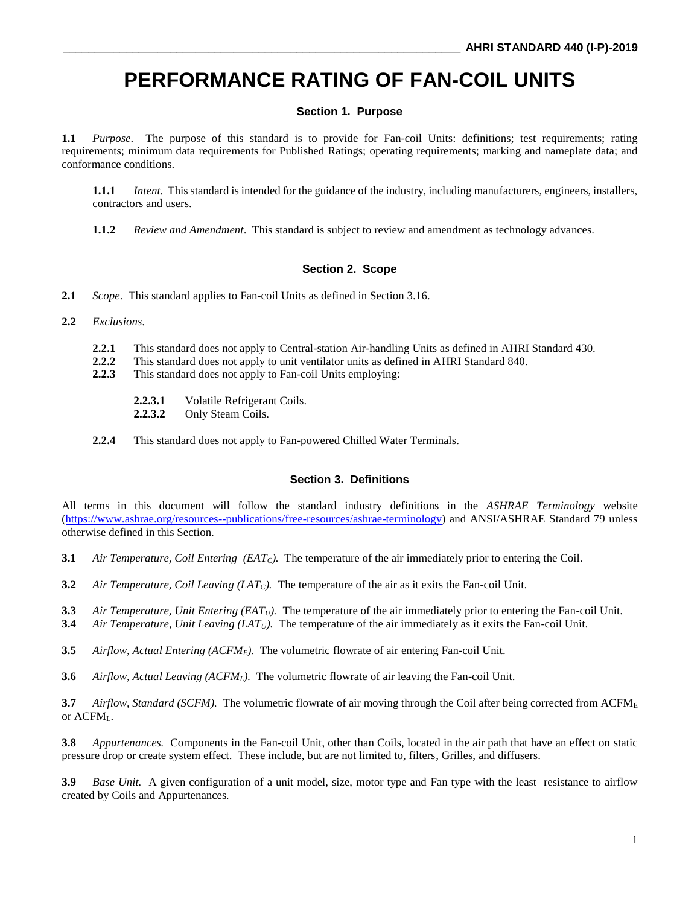# **PERFORMANCE RATING OF FAN-COIL UNITS**

#### **Section 1. Purpose**

**1.1** *Purpose*. The purpose of this standard is to provide for Fan-coil Units: definitions; test requirements; rating requirements; minimum data requirements for Published Ratings; operating requirements; marking and nameplate data; and conformance conditions.

**1.1.1** *Intent.* This standard is intended for the guidance of the industry, including manufacturers, engineers, installers, contractors and users.

**1.1.2** *Review and Amendment*. This standard is subject to review and amendment as technology advances.

#### **Section 2. Scope**

**2.1** *Scope*. This standard applies to Fan-coil Units as defined in Section 3.16.

- **2.2** *Exclusions*.
	- **2.2.1** This standard does not apply to Central-station Air-handling Units as defined in AHRI Standard 430.
	- **2.2.2** This standard does not apply to unit ventilator units as defined in AHRI Standard 840.
	- **2.2.3** This standard does not apply to Fan-coil Units employing:
		- **2.2.3.1** Volatile Refrigerant Coils.
		- **2.2.3.2** Only Steam Coils.
	- **2.2.4** This standard does not apply to Fan-powered Chilled Water Terminals.

#### **Section 3. Definitions**

All terms in this document will follow the standard industry definitions in the *ASHRAE Terminology* website [\(https://www.ashrae.org/resources--publications/free-resources/ashrae-terminology\)](https://www.ashrae.org/resources--publications/free-resources/ashrae-terminology) and ANSI/ASHRAE Standard 79 unless otherwise defined in this Section.

- **3.1** *Air Temperature, Coil Entering (EATC).* The temperature of the air immediately prior to entering the Coil.
- **3.2** *Air Temperature, Coil Leaving (LATC).* The temperature of the air as it exits the Fan-coil Unit.
- **3.3** *Air Temperature, Unit Entering (EATU).* The temperature of the air immediately prior to entering the Fan-coil Unit.
- **3.4** *Air Temperature, Unit Leaving (LATU).* The temperature of the air immediately as it exits the Fan-coil Unit.
- **3.5** *Airflow, Actual Entering (ACFME).* The volumetric flowrate of air entering Fan-coil Unit.
- **3.6** *Airflow, Actual Leaving (ACFML).* The volumetric flowrate of air leaving the Fan-coil Unit.

**3.7** *Airflow, Standard (SCFM).* The volumetric flowrate of air moving through the Coil after being corrected from ACFM<sup>E</sup> or ACFML.

**3.8** *Appurtenances.* Components in the Fan-coil Unit, other than Coils, located in the air path that have an effect on static pressure drop or create system effect. These include, but are not limited to, filters, Grilles, and diffusers.

**3.9** *Base Unit.* A given configuration of a unit model, size, motor type and Fan type with the least resistance to airflow created by Coils and Appurtenances*.*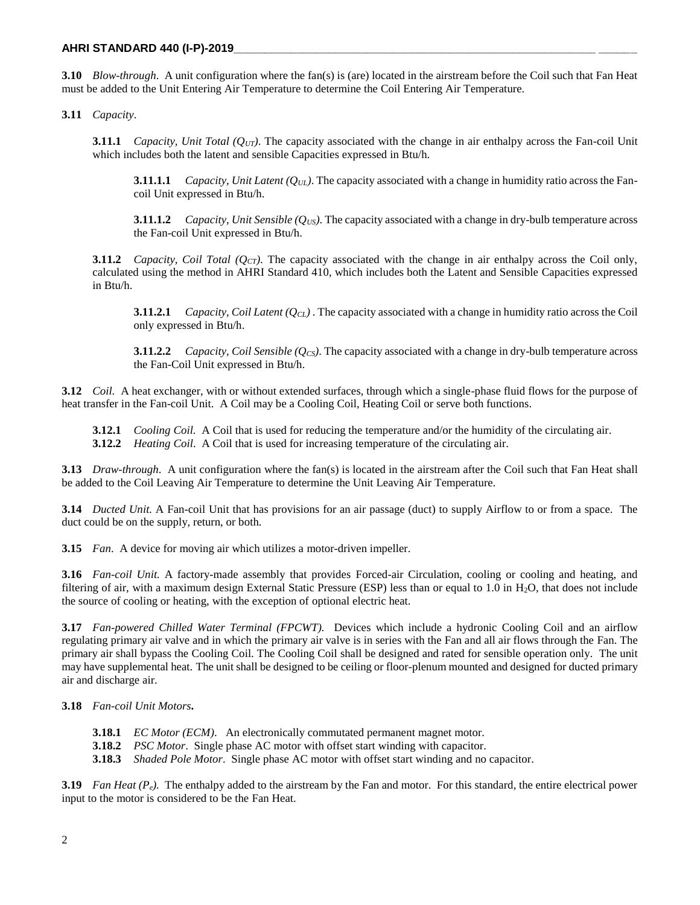**3.10** *Blow-through*. A unit configuration where the fan(s) is (are) located in the airstream before the Coil such that Fan Heat must be added to the Unit Entering Air Temperature to determine the Coil Entering Air Temperature.

**3.11** *Capacity*.

**3.11.1** *Capacity, Unit Total (QUT)*. The capacity associated with the change in air enthalpy across the Fan-coil Unit which includes both the latent and sensible Capacities expressed in Btu/h.

**3.11.1.1** *Capacity, Unit Latent (* $O_{UL}$ *).* The capacity associated with a change in humidity ratio across the Fancoil Unit expressed in Btu/h.

**3.11.1.2** *Capacity, Unit Sensible (* $Q_{US}$ *).* The capacity associated with a change in dry-bulb temperature across the Fan-coil Unit expressed in Btu/h.

**3.11.2** *Capacity, Coil Total (QCT)*. The capacity associated with the change in air enthalpy across the Coil only, calculated using the method in AHRI Standard 410, which includes both the Latent and Sensible Capacities expressed in Btu/h.

**3.11.2.1** *Capacity, Coil Latent (QCL)* . The capacity associated with a change in humidity ratio across the Coil only expressed in Btu/h.

**3.11.2.2** *Capacity, Coil Sensible (QCS)*. The capacity associated with a change in dry-bulb temperature across the Fan-Coil Unit expressed in Btu/h.

**3.12** *Coil.* A heat exchanger, with or without extended surfaces, through which a single-phase fluid flows for the purpose of heat transfer in the Fan-coil Unit. A Coil may be a Cooling Coil, Heating Coil or serve both functions.

**3.12.1** *Cooling Coil.* A Coil that is used for reducing the temperature and/or the humidity of the circulating air. **3.12.2** *Heating Coil*. A Coil that is used for increasing temperature of the circulating air.

**3.13** *Draw-through*. A unit configuration where the fan(s) is located in the airstream after the Coil such that Fan Heat shall be added to the Coil Leaving Air Temperature to determine the Unit Leaving Air Temperature.

**3.14** *Ducted Unit.* A Fan-coil Unit that has provisions for an air passage (duct) to supply Airflow to or from a space. The duct could be on the supply, return, or both.

**3.15** *Fan*. A device for moving air which utilizes a motor-driven impeller.

**3.16** *Fan-coil Unit.* A factory-made assembly that provides Forced-air Circulation, cooling or cooling and heating, and filtering of air, with a maximum design External Static Pressure (ESP) less than or equal to 1.0 in  $H_2O$ , that does not include the source of cooling or heating, with the exception of optional electric heat.

**3.17** *Fan-powered Chilled Water Terminal (FPCWT).* Devices which include a hydronic Cooling Coil and an airflow regulating primary air valve and in which the primary air valve is in series with the Fan and all air flows through the Fan. The primary air shall bypass the Cooling Coil. The Cooling Coil shall be designed and rated for sensible operation only. The unit may have supplemental heat. The unit shall be designed to be ceiling or floor-plenum mounted and designed for ducted primary air and discharge air.

**3.18** *Fan-coil Unit Motors***.**

- **3.18.1** *EC Motor (ECM)*. An electronically commutated permanent magnet motor.
- **3.18.2** *PSC Motor*. Single phase AC motor with offset start winding with capacitor.

**3.18.3** *Shaded Pole Motor*. Single phase AC motor with offset start winding and no capacitor.

**3.19** *Fan Heat (Pe).* The enthalpy added to the airstream by the Fan and motor. For this standard, the entire electrical power input to the motor is considered to be the Fan Heat.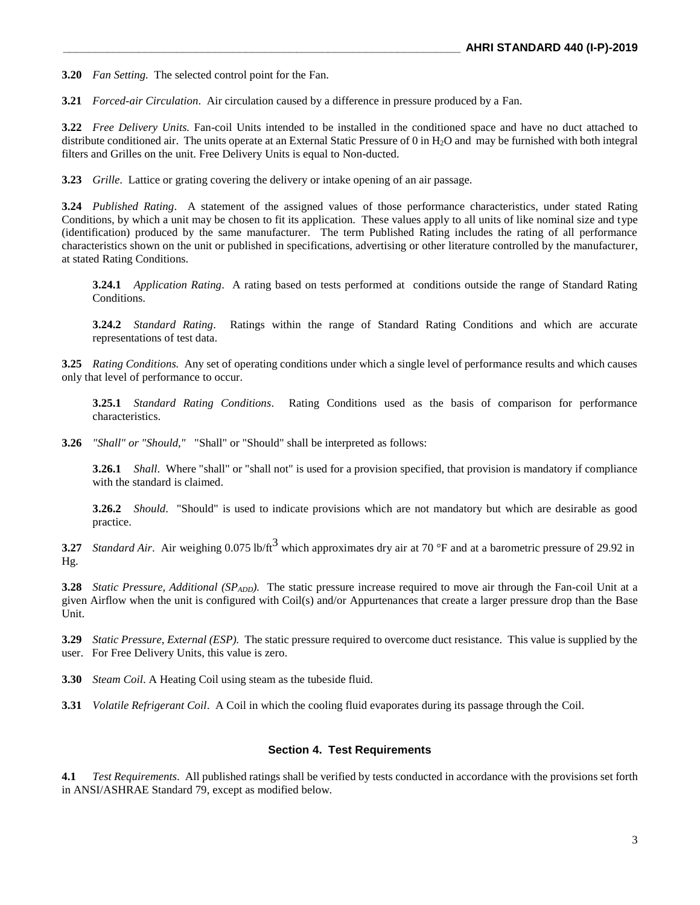**3.20** *Fan Setting.* The selected control point for the Fan.

**3.21** *Forced-air Circulation*. Air circulation caused by a difference in pressure produced by a Fan.

**3.22** *Free Delivery Units.* Fan-coil Units intended to be installed in the conditioned space and have no duct attached to distribute conditioned air. The units operate at an External Static Pressure of 0 in  $H_2O$  and may be furnished with both integral filters and Grilles on the unit. Free Delivery Units is equal to Non-ducted.

**3.23** *Grille*. Lattice or grating covering the delivery or intake opening of an air passage.

**3.24** *Published Rating*. A statement of the assigned values of those performance characteristics, under stated Rating Conditions, by which a unit may be chosen to fit its application. These values apply to all units of like nominal size and type (identification) produced by the same manufacturer. The term Published Rating includes the rating of all performance characteristics shown on the unit or published in specifications, advertising or other literature controlled by the manufacturer, at stated Rating Conditions.

**3.24.1** *Application Rating*. A rating based on tests performed at conditions outside the range of Standard Rating Conditions.

**3.24.2** *Standard Rating*. Ratings within the range of Standard Rating Conditions and which are accurate representations of test data.

**3.25** *Rating Conditions.* Any set of operating conditions under which a single level of performance results and which causes only that level of performance to occur.

**3.25.1** *Standard Rating Conditions*. Rating Conditions used as the basis of comparison for performance characteristics.

**3.26** *"Shall" or "Should,"* "Shall" or "Should" shall be interpreted as follows:

**3.26.1** *Shall*. Where "shall" or "shall not" is used for a provision specified, that provision is mandatory if compliance with the standard is claimed.

**3.26.2** *Should*. "Should" is used to indicate provisions which are not mandatory but which are desirable as good practice.

**3.27** *Standard Air.* Air weighing 0.075 lb/ft<sup>3</sup> which approximates dry air at 70 °F and at a barometric pressure of 29.92 in Hg.

**3.28** *Static Pressure, Additional (SP<sub>ADD</sub>)*. The static pressure increase required to move air through the Fan-coil Unit at a given Airflow when the unit is configured with Coil(s) and/or Appurtenances that create a larger pressure drop than the Base Unit.

**3.29** *Static Pressure, External (ESP).* The static pressure required to overcome duct resistance. This value is supplied by the user. For Free Delivery Units, this value is zero.

**3.30** *Steam Coil*. A Heating Coil using steam as the tubeside fluid.

**3.31** *Volatile Refrigerant Coil*. A Coil in which the cooling fluid evaporates during its passage through the Coil.

#### **Section 4. Test Requirements**

**4.1** *Test Requirements*. All published ratings shall be verified by tests conducted in accordance with the provisions set forth in ANSI/ASHRAE Standard 79, except as modified below.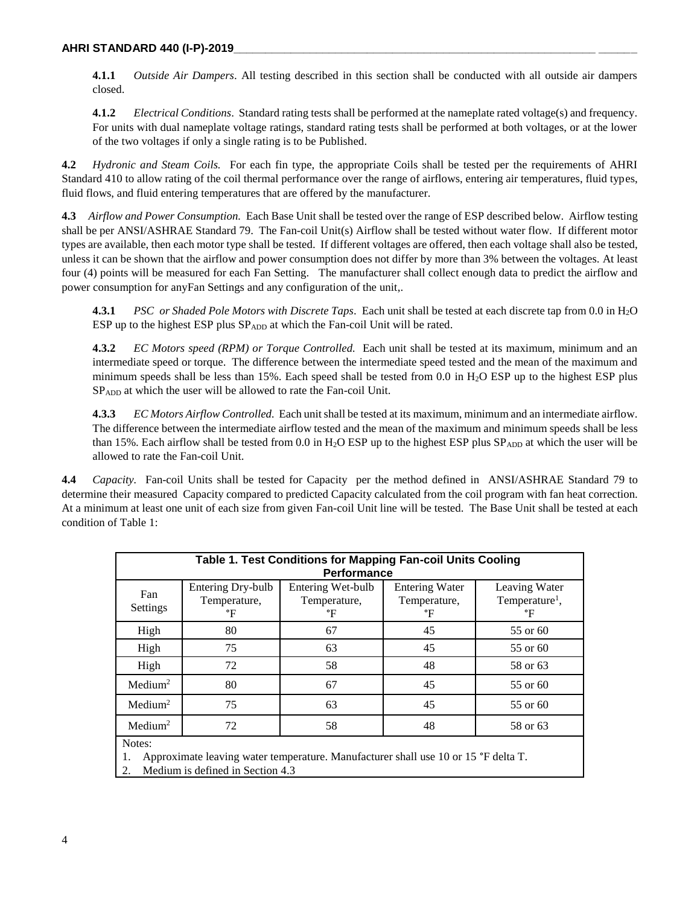**4.1.1** *Outside Air Dampers*. All testing described in this section shall be conducted with all outside air dampers closed.

**4.1.2** *Electrical Conditions*. Standard rating tests shall be performed at the nameplate rated voltage(s) and frequency. For units with dual nameplate voltage ratings, standard rating tests shall be performed at both voltages, or at the lower of the two voltages if only a single rating is to be Published.

**4.2** *Hydronic and Steam Coils.* For each fin type, the appropriate Coils shall be tested per the requirements of AHRI Standard 410 to allow rating of the coil thermal performance over the range of airflows, entering air temperatures, fluid types, fluid flows, and fluid entering temperatures that are offered by the manufacturer.

**4.3** *Airflow and Power Consumption.* Each Base Unit shall be tested over the range of ESP described below. Airflow testing shall be per ANSI/ASHRAE Standard 79. The Fan-coil Unit(s) Airflow shall be tested without water flow. If different motor types are available, then each motor type shall be tested. If different voltages are offered, then each voltage shall also be tested, unless it can be shown that the airflow and power consumption does not differ by more than 3% between the voltages. At least four (4) points will be measured for each Fan Setting. The manufacturer shall collect enough data to predict the airflow and power consumption for anyFan Settings and any configuration of the unit,.

**4.3.1** *PSC or Shaded Pole Motors with Discrete Taps*. Each unit shall be tested at each discrete tap from 0.0 in H2O ESP up to the highest ESP plus SPADD at which the Fan-coil Unit will be rated.

**4.3.2** *EC Motors speed (RPM) or Torque Controlled.* Each unit shall be tested at its maximum, minimum and an intermediate speed or torque. The difference between the intermediate speed tested and the mean of the maximum and minimum speeds shall be less than 15%. Each speed shall be tested from 0.0 in  $H_2O$  ESP up to the highest ESP plus SPADD at which the user will be allowed to rate the Fan-coil Unit.

**4.3.3** *EC Motors Airflow Controlled.* Each unit shall be tested at its maximum, minimum and an intermediate airflow. The difference between the intermediate airflow tested and the mean of the maximum and minimum speeds shall be less than 15%. Each airflow shall be tested from 0.0 in  $H_2O$  ESP up to the highest ESP plus  $SP_{ADD}$  at which the user will be allowed to rate the Fan-coil Unit.

**4.4** *Capacity.* Fan-coil Units shall be tested for Capacity per the method defined in ANSI/ASHRAE Standard 79 to determine their measured Capacity compared to predicted Capacity calculated from the coil program with fan heat correction. At a minimum at least one unit of each size from given Fan-coil Unit line will be tested. The Base Unit shall be tested at each condition of Table 1:

| Table 1. Test Conditions for Mapping Fan-coil Units Cooling<br>Performance |                                         |                                         |                                             |                                                   |
|----------------------------------------------------------------------------|-----------------------------------------|-----------------------------------------|---------------------------------------------|---------------------------------------------------|
| Fan<br>Settings                                                            | Entering Dry-bulb<br>Temperature,<br>°F | Entering Wet-bulb<br>Temperature,<br>°F | <b>Entering Water</b><br>Temperature,<br>°F | Leaving Water<br>Temperature <sup>1</sup> ,<br>°F |
| High                                                                       | 80                                      | 67                                      | 45                                          | 55 or 60                                          |
| High                                                                       | 75                                      | 63                                      | 45                                          | 55 or 60                                          |
| High                                                                       | 72                                      | 58                                      | 48                                          | 58 or 63                                          |
| Median <sup>2</sup>                                                        | 80                                      | 67                                      | 45                                          | 55 or 60                                          |
| Median <sup>2</sup>                                                        | 75                                      | 63                                      | 45                                          | 55 or 60                                          |
| Median <sup>2</sup>                                                        | 72                                      | 58                                      | 48                                          | 58 or 63                                          |
| Notes:                                                                     |                                         |                                         |                                             |                                                   |

1. Approximate leaving water temperature. Manufacturer shall use 10 or 15 °F delta T.

2. Medium is defined in Section 4.3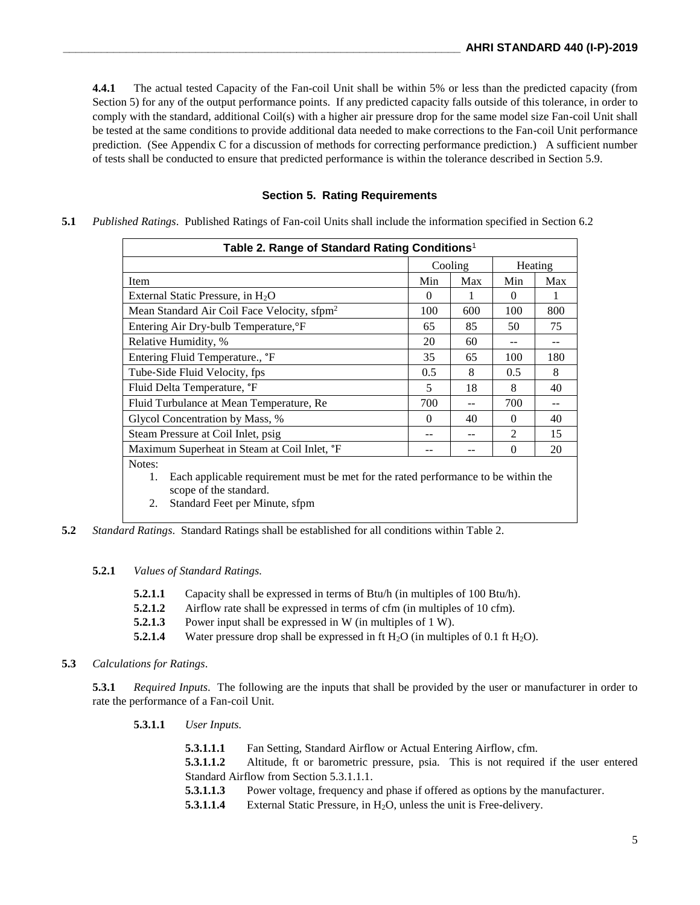**4.4.1** The actual tested Capacity of the Fan-coil Unit shall be within 5% or less than the predicted capacity (from Section 5) for any of the output performance points. If any predicted capacity falls outside of this tolerance, in order to comply with the standard, additional Coil(s) with a higher air pressure drop for the same model size Fan-coil Unit shall be tested at the same conditions to provide additional data needed to make corrections to the Fan-coil Unit performance prediction. (See Appendix C for a discussion of methods for correcting performance prediction.) A sufficient number of tests shall be conducted to ensure that predicted performance is within the tolerance described in Section 5.9.

#### **Section 5. Rating Requirements**

**5.1** *Published Ratings*. Published Ratings of Fan-coil Units shall include the information specified in Section 6.2

| Table 2. Range of Standard Rating Conditions <sup>1</sup>                                                                    |          |         |                             |     |
|------------------------------------------------------------------------------------------------------------------------------|----------|---------|-----------------------------|-----|
|                                                                                                                              |          | Cooling | Heating                     |     |
| Item                                                                                                                         | Min      | Max     | Min                         | Max |
| External Static Pressure, in $H_2O$                                                                                          | $\Omega$ |         | $\Omega$                    | 1   |
| Mean Standard Air Coil Face Velocity, sfpm <sup>2</sup>                                                                      | 100      | 600     | 100                         | 800 |
| Entering Air Dry-bulb Temperature, <sup>o</sup> F                                                                            | 65       | 85      | 50                          | 75  |
| Relative Humidity, %                                                                                                         | 20       | 60      | --                          | --  |
| Entering Fluid Temperature., °F                                                                                              |          | 65      | 100                         | 180 |
| Tube-Side Fluid Velocity, fps                                                                                                |          | 8       | 0.5                         | 8   |
| Fluid Delta Temperature, <i>"F</i>                                                                                           |          | 18      | 8                           | 40  |
| Fluid Turbulance at Mean Temperature, Re                                                                                     |          |         | 700                         |     |
| Glycol Concentration by Mass, %                                                                                              |          | 40      | $\Omega$                    | 40  |
| Steam Pressure at Coil Inlet, psig.                                                                                          |          |         | $\mathcal{D}_{\mathcal{L}}$ | 15  |
| Maximum Superheat in Steam at Coil Inlet, <sup>o</sup> F                                                                     |          |         | $\Omega$                    | 20  |
| Notes:<br>Each applicable requirement must be met for the rated performance to be within the<br>1.<br>scope of the standard. |          |         |                             |     |

- 2. Standard Feet per Minute, sfpm
- **5.2** *Standard Ratings*. Standard Ratings shall be established for all conditions within Table 2.

#### **5.2.1** *Values of Standard Ratings.*

- **5.2.1.1** Capacity shall be expressed in terms of Btu/h (in multiples of 100 Btu/h).
- **5.2.1.2** Airflow rate shall be expressed in terms of cfm (in multiples of 10 cfm).
- **5.2.1.3** Power input shall be expressed in W (in multiples of 1 W).
- **5.2.1.4** Water pressure drop shall be expressed in ft  $H_2O$  (in multiples of 0.1 ft  $H_2O$ ).

#### **5.3** *Calculations for Ratings*.

**5.3.1** *Required Inputs*. The following are the inputs that shall be provided by the user or manufacturer in order to rate the performance of a Fan-coil Unit.

**5.3.1.1** *User Inputs.*

| 5.3.1.1.1                                | Fan Setting, Standard Airflow or Actual Entering Airflow, cfm.                      |  |  |
|------------------------------------------|-------------------------------------------------------------------------------------|--|--|
| 5.3.1.1.2                                | Altitude, ft or barometric pressure, psia. This is not required if the user entered |  |  |
| Standard Airflow from Section 5.3.1.1.1. |                                                                                     |  |  |
| 5.3.1.1.3                                | Power voltage, frequency and phase if offered as options by the manufacturer.       |  |  |
| 5.3.1.1.4                                | External Static Pressure, in $H_2O$ , unless the unit is Free-delivery.             |  |  |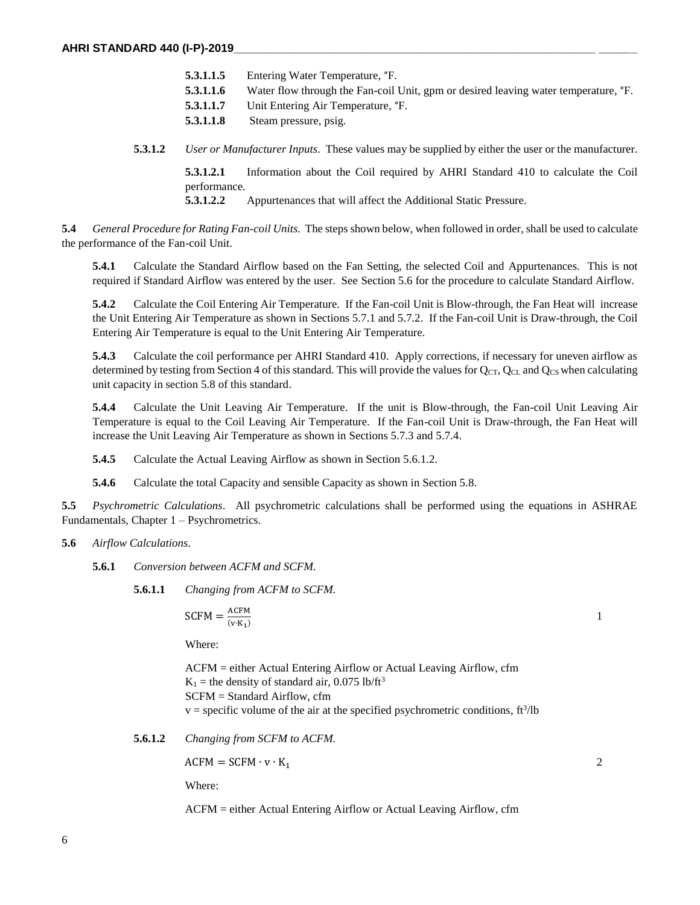| 5.3.1.1.5 | Entering Water Temperature, °F.                                                                 |
|-----------|-------------------------------------------------------------------------------------------------|
| 5.3.1.1.6 | Water flow through the Fan-coil Unit, gpm or desired leaving water temperature, <sup>o</sup> F. |
| 5.3.1.1.7 | Unit Entering Air Temperature, °F.                                                              |
| 5.3.1.1.8 | Steam pressure, psig.                                                                           |
|           |                                                                                                 |

**5.3.1.2** *User or Manufacturer Inputs*. These values may be supplied by either the user or the manufacturer.

**5.3.1.2.1** Information about the Coil required by AHRI Standard 410 to calculate the Coil performance.

**5.3.1.2.2** Appurtenances that will affect the Additional Static Pressure.

**5.4** *General Procedure for Rating Fan-coil Units*. The steps shown below, when followed in order, shall be used to calculate the performance of the Fan-coil Unit.

**5.4.1** Calculate the Standard Airflow based on the Fan Setting, the selected Coil and Appurtenances. This is not required if Standard Airflow was entered by the user. See Section 5.6 for the procedure to calculate Standard Airflow.

**5.4.2** Calculate the Coil Entering Air Temperature. If the Fan-coil Unit is Blow-through, the Fan Heat will increase the Unit Entering Air Temperature as shown in Sections 5.7.1 and 5.7.2. If the Fan-coil Unit is Draw-through, the Coil Entering Air Temperature is equal to the Unit Entering Air Temperature.

**5.4.3** Calculate the coil performance per AHRI Standard 410. Apply corrections, if necessary for uneven airflow as determined by testing from Section 4 of this standard. This will provide the values for  $Q_{CT}$ ,  $Q_{CL}$  and  $Q_{CS}$  when calculating unit capacity in section 5.8 of this standard.

**5.4.4** Calculate the Unit Leaving Air Temperature. If the unit is Blow-through, the Fan-coil Unit Leaving Air Temperature is equal to the Coil Leaving Air Temperature. If the Fan-coil Unit is Draw-through, the Fan Heat will increase the Unit Leaving Air Temperature as shown in Sections 5.7.3 and 5.7.4.

**5.4.5** Calculate the Actual Leaving Airflow as shown in Section 5.6.1.2.

**5.4.6** Calculate the total Capacity and sensible Capacity as shown in Section 5.8.

**5.5** *Psychrometric Calculations*. All psychrometric calculations shall be performed using the equations in ASHRAE Fundamentals, Chapter 1 – Psychrometrics.

**5.6** *Airflow Calculations*.

**5.6.1** *Conversion between ACFM and SCFM.*

**5.6.1.1** *Changing from ACFM to SCFM.*

$$
\text{SCFM} = \frac{\text{ACFM}}{\text{(v·K)}\text{1}}
$$

Where:

ACFM = either Actual Entering Airflow or Actual Leaving Airflow, cfm  $K_1$  = the density of standard air, 0.075 lb/ft<sup>3</sup> SCFM = Standard Airflow, cfm  $v =$  specific volume of the air at the specified psychrometric conditions,  $ft^3/lb$  1

**5.6.1.2** *Changing from SCFM to ACFM.*

 $ACFM = SCFM · v · K<sub>1</sub>$  2

Where:

ACFM = either Actual Entering Airflow or Actual Leaving Airflow, cfm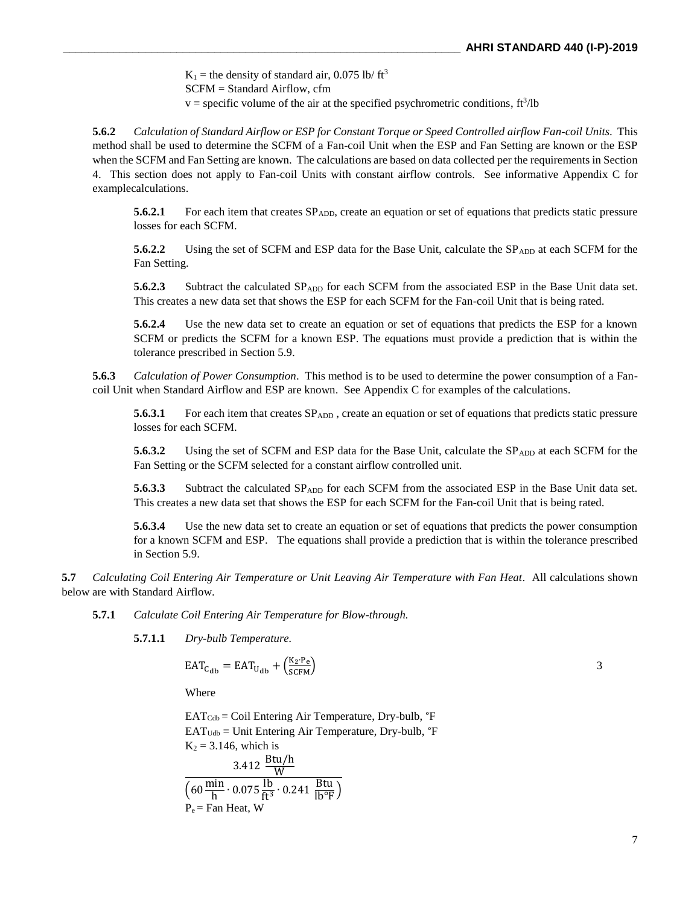$K_1$  = the density of standard air, 0.075 lb/ ft<sup>3</sup> SCFM = Standard Airflow, cfm  $v =$  specific volume of the air at the specified psychrometric conditions,  $ft^3/lb$ 

**5.6.2** *Calculation of Standard Airflow or ESP for Constant Torque or Speed Controlled airflow Fan-coil Units*. This method shall be used to determine the SCFM of a Fan-coil Unit when the ESP and Fan Setting are known or the ESP when the SCFM and Fan Setting are known. The calculations are based on data collected per the requirements in Section 4. This section does not apply to Fan-coil Units with constant airflow controls. See informative Appendix C for examplecalculations.

**5.6.2.1** For each item that creates SP<sub>ADD</sub>, create an equation or set of equations that predicts static pressure losses for each SCFM.

**5.6.2.2** Using the set of SCFM and ESP data for the Base Unit, calculate the SP<sub>ADD</sub> at each SCFM for the Fan Setting.

**5.6.2.3** Subtract the calculated SP<sub>ADD</sub> for each SCFM from the associated ESP in the Base Unit data set. This creates a new data set that shows the ESP for each SCFM for the Fan-coil Unit that is being rated.

**5.6.2.4** Use the new data set to create an equation or set of equations that predicts the ESP for a known SCFM or predicts the SCFM for a known ESP. The equations must provide a prediction that is within the tolerance prescribed in Section 5.9.

**5.6.3** *Calculation of Power Consumption*. This method is to be used to determine the power consumption of a Fancoil Unit when Standard Airflow and ESP are known. See Appendix C for examples of the calculations.

**5.6.3.1** For each item that creates  $SP_{ADD}$ , create an equation or set of equations that predicts static pressure losses for each SCFM.

**5.6.3.2** Using the set of SCFM and ESP data for the Base Unit, calculate the SP<sub>ADD</sub> at each SCFM for the Fan Setting or the SCFM selected for a constant airflow controlled unit.

**5.6.3.3** Subtract the calculated SP<sub>ADD</sub> for each SCFM from the associated ESP in the Base Unit data set. This creates a new data set that shows the ESP for each SCFM for the Fan-coil Unit that is being rated.

**5.6.3.4** Use the new data set to create an equation or set of equations that predicts the power consumption for a known SCFM and ESP. The equations shall provide a prediction that is within the tolerance prescribed in Section 5.9.

**5.7** *Calculating Coil Entering Air Temperature or Unit Leaving Air Temperature with Fan Heat*. All calculations shown below are with Standard Airflow.

**5.7.1** *Calculate Coil Entering Air Temperature for Blow-through.*

**5.7.1.1** *Dry-bulb Temperature.*

$$
EAT_{C_{db}} = EAT_{U_{db}} + \left(\frac{K_2 \cdot P_e}{SCFM}\right) \tag{3}
$$

Where

 $EAT<sub>Cdb</sub> = Coil Entering Air Temperature, Dry-bulb,  ${}^{\circ}\text{F}$$  $EAT_{Udb} =$  Unit Entering Air Temperature, Dry-bulb,  ${}^{\circ}F$  $K_2 = 3.146$ , which is  $3.412 \frac{\text{Btu/h}}{\text{W}}$ 

$$
\frac{W}{\left(60 \frac{\text{min}}{\text{h}} \cdot 0.075 \frac{\text{lb}}{\text{ft}^3} \cdot 0.241 \frac{\text{Btu}}{\text{lb}^{\circ} \text{F}}\right)}
$$
  
P<sub>e</sub> = Fan Heat, W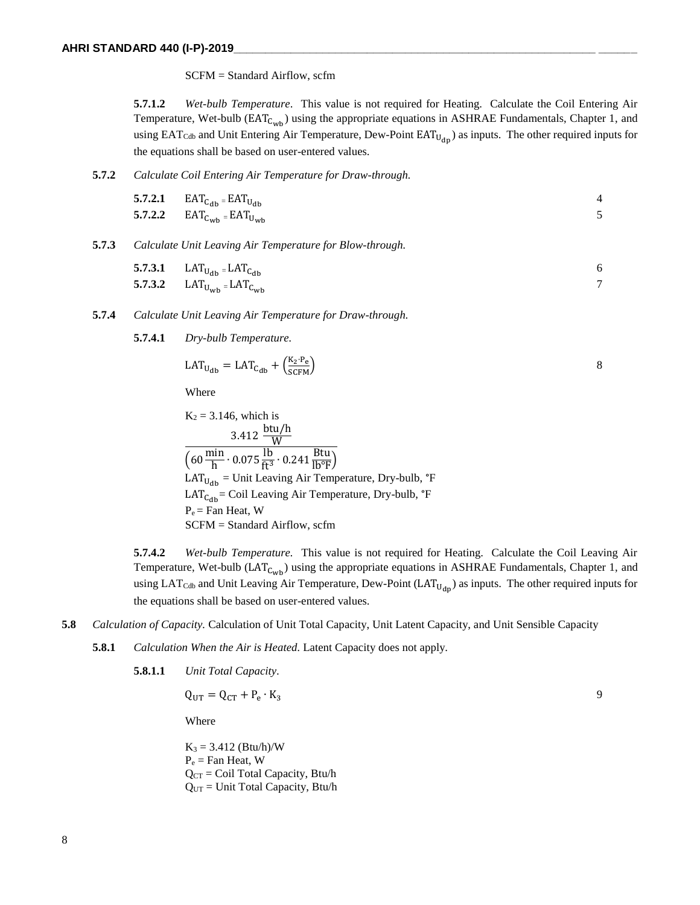SCFM = Standard Airflow, scfm

**5.7.1.2** *Wet-bulb Temperature*. This value is not required for Heating. Calculate the Coil Entering Air Temperature, Wet-bulb ( $EAT_{C_{wb}}$ ) using the appropriate equations in ASHRAE Fundamentals, Chapter 1, and using  $EAT_{Cdb}$  and Unit Entering Air Temperature, Dew-Point  $EAT_{U_{dn}}$ ) as inputs. The other required inputs for the equations shall be based on user-entered values.

**5.7.2** *Calculate Coil Entering Air Temperature for Draw-through.*

| 5.7.2.1 $EAT_{C_{db}} = EAT_{U_{db}}$ |  |
|---------------------------------------|--|
| 5.7.2.2 $EAT_{C_{wb}} = EAT_{U_{wb}}$ |  |

#### **5.7.3** *Calculate Unit Leaving Air Temperature for Blow-through.*

| <b>5.7.3.1</b> LAT <sub>U<sub>db</sub> = LAT<sub>C<sub>db</sub></sub></sub> | -6 |
|-----------------------------------------------------------------------------|----|
| <b>5.7.3.2</b> LAT <sub>U<sub>Wb</sub> = LAT<sub>C<sub>Wb</sub></sub></sub> |    |

- **5.7.4** *Calculate Unit Leaving Air Temperature for Draw-through.*
	- **5.7.4.1** *Dry-bulb Temperature.*

$$
LAT_{U_{db}} = LAT_{C_{db}} + \left(\frac{K_2 \cdot P_e}{SCFM}\right) \tag{8}
$$

Where

$$
K_2 = 3.146
$$
, which is  
\n
$$
3.412 \frac{btu/h}{W}
$$
  
\n
$$
(60 \frac{min}{h} \cdot 0.075 \frac{lb}{ft^3} \cdot 0.241 \frac{Btu}{lb^{\circ}F})
$$
  
\n
$$
LAT_{Udb} = Unit Learning Air Temperature, Dry-bulb, \degree F
$$
  
\n
$$
LAT_{Cdb} = Coil Learning Air Temperature, Dry-bulb, \degree F
$$
  
\n
$$
P_e = Fan Heat, W
$$
  
\nSCFM = Standard Airflow, scfm

**5.7.4.2** *Wet-bulb Temperature.* This value is not required for Heating. Calculate the Coil Leaving Air Temperature, Wet-bulb ( $LAT_{C_{wb}}$ ) using the appropriate equations in ASHRAE Fundamentals, Chapter 1, and using LAT<sub>Cdb</sub> and Unit Leaving Air Temperature, Dew-Point (LAT<sub>U<sub>dn</sub>)</sub> as inputs. The other required inputs for the equations shall be based on user-entered values.

- **5.8** *Calculation of Capacity.* Calculation of Unit Total Capacity, Unit Latent Capacity, and Unit Sensible Capacity
	- **5.8.1** *Calculation When the Air is Heated.* Latent Capacity does not apply.

**5.8.1.1** *Unit Total Capacity.*

 $Q_{UT} = Q_{CT} + P_e \cdot K_3$  $\cdot$  K<sub>3</sub> 9

Where

 $K_3 = 3.412$  (Btu/h)/W  $P_e$  = Fan Heat, W  $Q_{CT}$  = Coil Total Capacity, Btu/h QUT = Unit Total Capacity, Btu/h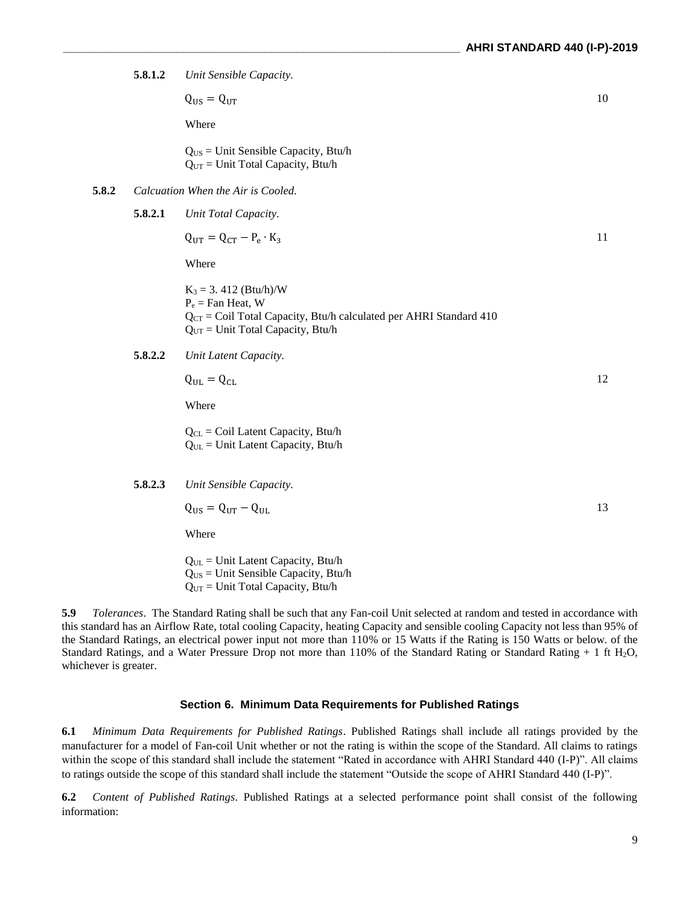**5.8.1.2** *Unit Sensible Capacity.*

 $Q_{\text{US}} = Q_{\text{UT}}$  10

Where

QUS = Unit Sensible Capacity, Btu/h  $Q<sub>UT</sub>$  = Unit Total Capacity, Btu/h

**5.8.2** *Calcuation When the Air is Cooled.*

**5.8.2.1** *Unit Total Capacity.*

$$
Q_{UT} = Q_{CT} - P_e \cdot K_3 \tag{11}
$$

Where

 $K_3 = 3.412$  (Btu/h)/W  $P_e$  = Fan Heat, W  $Q<sub>CT</sub> = Coil Total Capacity, Btu/h calculated per AHRI Standard 410$  $Q<sub>UT</sub>$  = Unit Total Capacity, Btu/h

**5.8.2.2** *Unit Latent Capacity.*

 $Q_{\text{UL}} = Q_{\text{CL}}$  12

Where

QCL = Coil Latent Capacity, Btu/h QUL = Unit Latent Capacity, Btu/h

**5.8.2.3** *Unit Sensible Capacity.*

 $Q_{\text{US}} = Q_{\text{UT}} - Q_{\text{UL}}$  13

Where

 $Q_{UL}$  = Unit Latent Capacity, Btu/h QUS = Unit Sensible Capacity, Btu/h  $Q<sub>UT</sub> = Unit Total Capacity, Btu/h$ 

**5.9** *Tolerances*. The Standard Rating shall be such that any Fan-coil Unit selected at random and tested in accordance with this standard has an Airflow Rate, total cooling Capacity, heating Capacity and sensible cooling Capacity not less than 95% of the Standard Ratings, an electrical power input not more than 110% or 15 Watts if the Rating is 150 Watts or below. of the Standard Ratings, and a Water Pressure Drop not more than 110% of the Standard Rating or Standard Rating + 1 ft H2O, whichever is greater.

#### **Section 6. Minimum Data Requirements for Published Ratings**

**6.1** *Minimum Data Requirements for Published Ratings*. Published Ratings shall include all ratings provided by the manufacturer for a model of Fan-coil Unit whether or not the rating is within the scope of the Standard. All claims to ratings within the scope of this standard shall include the statement "Rated in accordance with AHRI Standard 440 (I-P)". All claims to ratings outside the scope of this standard shall include the statement "Outside the scope of AHRI Standard 440 (I-P)".

**6.2** *Content of Published Ratings*. Published Ratings at a selected performance point shall consist of the following information: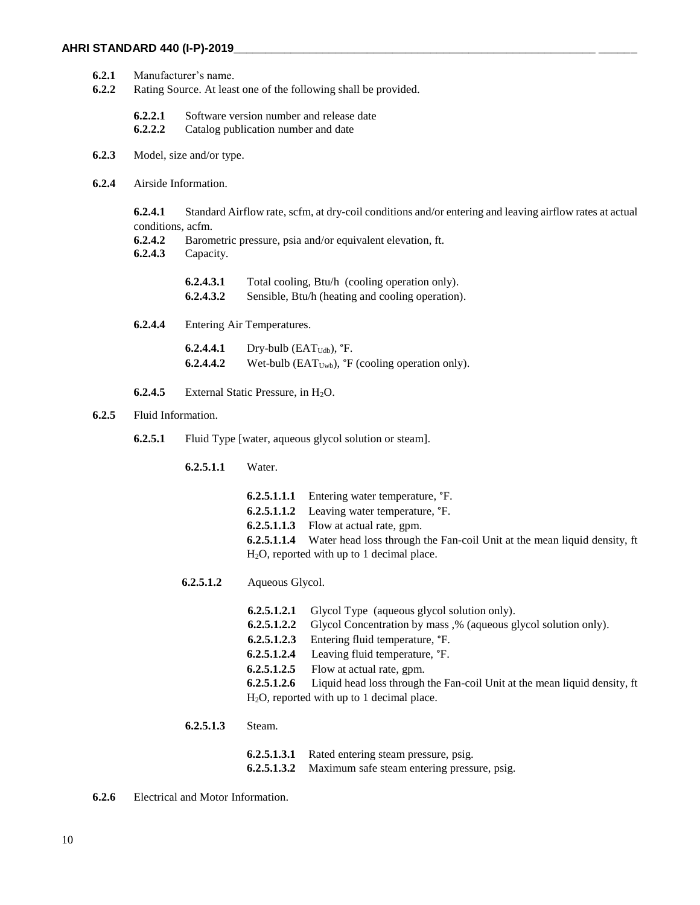- **6.2.1** Manufacturer's name.
- **6.2.2** Rating Source. At least one of the following shall be provided.
	- **6.2.2.1** Software version number and release date
	- **6.2.2.2** Catalog publication number and date
- **6.2.3** Model, size and/or type.
- **6.2.4** Airside Information.

**6.2.4.1** Standard Airflow rate, scfm, at dry-coil conditions and/or entering and leaving airflow rates at actual conditions, acfm.

- **6.2.4.2** Barometric pressure, psia and/or equivalent elevation, ft.
- **6.2.4.3** Capacity.

| 6.2.4.3.1 | Total cooling, Btu/h (cooling operation only).   |
|-----------|--------------------------------------------------|
| 6.2.4.3.2 | Sensible, Btu/h (heating and cooling operation). |

**6.2.4.4** Entering Air Temperatures.

**6.2.4.4.1** Dry-bulb (EAT<sub>Udb</sub>), °F. **6.2.4.4.2** Wet-bulb  $(EAT<sub>Uwb</sub>)$ ,  $\mathbf{F}$  (cooling operation only).

- **6.2.4.5** External Static Pressure, in  $H_2O$ .
- **6.2.5** Fluid Information.
	- **6.2.5.1** Fluid Type [water, aqueous glycol solution or steam].
		- **6.2.5.1.1** Water.
			- **6.2.5.1.1.1** Entering water temperature, °F. **6.2.5.1.1.2** Leaving water temperature, °F. **6.2.5.1.1.3** Flow at actual rate, gpm. **6.2.5.1.1.4** Water head loss through the Fan-coil Unit at the mean liquid density, ft H2O, reported with up to 1 decimal place.
		- **6.2.5.1.2** Aqueous Glycol.
			- **6.2.5.1.2.1** Glycol Type (aqueous glycol solution only). **6.2.5.1.2.2** Glycol Concentration by mass ,% (aqueous glycol solution only). **6.2.5.1.2.3** Entering fluid temperature, °F. **6.2.5.1.2.4** Leaving fluid temperature, °F. **6.2.5.1.2.5** Flow at actual rate, gpm. **6.2.5.1.2.6** Liquid head loss through the Fan-coil Unit at the mean liquid density, ft H2O, reported with up to 1 decimal place.
			- **6.2.5.1.3** Steam.
				- **6.2.5.1.3.1** Rated entering steam pressure, psig. **6.2.5.1.3.2** Maximum safe steam entering pressure, psig.
- **6.2.6** Electrical and Motor Information.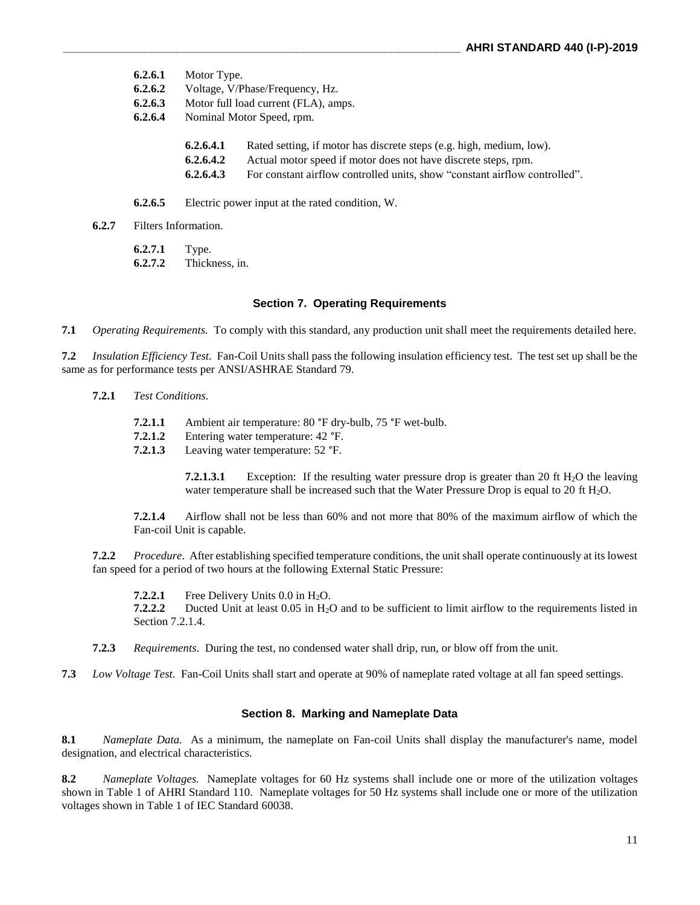- **6.2.6.1** Motor Type.
- **6.2.6.2** Voltage, V/Phase/Frequency, Hz.
- **6.2.6.3** Motor full load current (FLA), amps.
- **6.2.6.4** Nominal Motor Speed, rpm.
	- **6.2.6.4.1** Rated setting, if motor has discrete steps (e.g. high, medium, low).
	- **6.2.6.4.2** Actual motor speed if motor does not have discrete steps, rpm.
	- **6.2.6.4.3** For constant airflow controlled units, show "constant airflow controlled".
- **6.2.6.5** Electric power input at the rated condition, W.
- **6.2.7** Filters Information.

**6.2.7.1** Type.

**6.2.7.2** Thickness, in.

#### **Section 7. Operating Requirements**

**7.1** *Operating Requirements.* To comply with this standard, any production unit shall meet the requirements detailed here.

**7.2** *Insulation Efficiency Test*. Fan-Coil Units shall pass the following insulation efficiency test. The test set up shall be the same as for performance tests per ANSI/ASHRAE Standard 79.

- **7.2.1** *Test Conditions*.
	- **7.2.1.1** Ambient air temperature: 80 °F dry-bulb, 75 °F wet-bulb.
	- **7.2.1.2** Entering water temperature: 42 °F.
	- **7.2.1.3** Leaving water temperature: 52 °F.

**7.2.1.3.1** Exception: If the resulting water pressure drop is greater than 20 ft  $H_2O$  the leaving water temperature shall be increased such that the Water Pressure Drop is equal to 20 ft H<sub>2</sub>O.

**7.2.1.4** Airflow shall not be less than 60% and not more that 80% of the maximum airflow of which the Fan-coil Unit is capable.

**7.2.2** *Procedure*. After establishing specified temperature conditions, the unit shall operate continuously at its lowest fan speed for a period of two hours at the following External Static Pressure:

**7.2.2.1** Free Delivery Units  $0.0$  in H<sub>2</sub>O.<br>**7.2.2.2** Ducted Unit at least  $0.05$  in H<sub>2</sub>O. Ducted Unit at least 0.05 in H<sub>2</sub>O and to be sufficient to limit airflow to the requirements listed in Section 7.2.1.4.

- **7.2.3** *Requirements*. During the test, no condensed water shall drip, run, or blow off from the unit.
- **7.3** *Low Voltage Test*. Fan-Coil Units shall start and operate at 90% of nameplate rated voltage at all fan speed settings.

#### **Section 8. Marking and Nameplate Data**

**8.1** *Nameplate Data.* As a minimum, the nameplate on Fan-coil Units shall display the manufacturer's name, model designation, and electrical characteristics.

**8.2** *Nameplate Voltages.* Nameplate voltages for 60 Hz systems shall include one or more of the utilization voltages shown in Table 1 of AHRI Standard 110. Nameplate voltages for 50 Hz systems shall include one or more of the utilization voltages shown in Table 1 of IEC Standard 60038.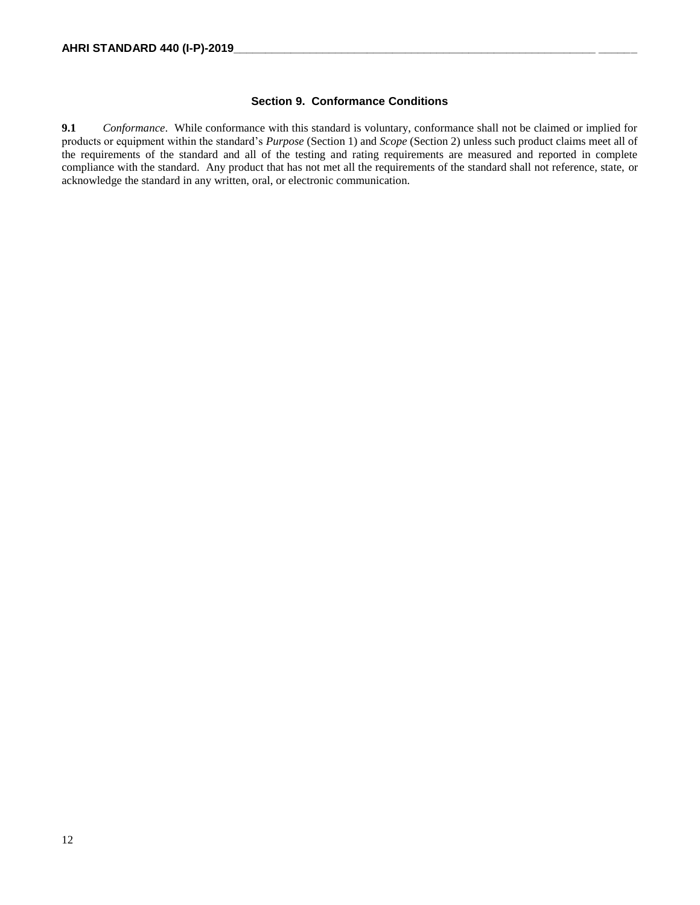#### **Section 9. Conformance Conditions**

**9.1** *Conformance*. While conformance with this standard is voluntary, conformance shall not be claimed or implied for products or equipment within the standard's *Purpose* (Section 1) and *Scope* (Section 2) unless such product claims meet all of the requirements of the standard and all of the testing and rating requirements are measured and reported in complete compliance with the standard. Any product that has not met all the requirements of the standard shall not reference, state, or acknowledge the standard in any written, oral, or electronic communication.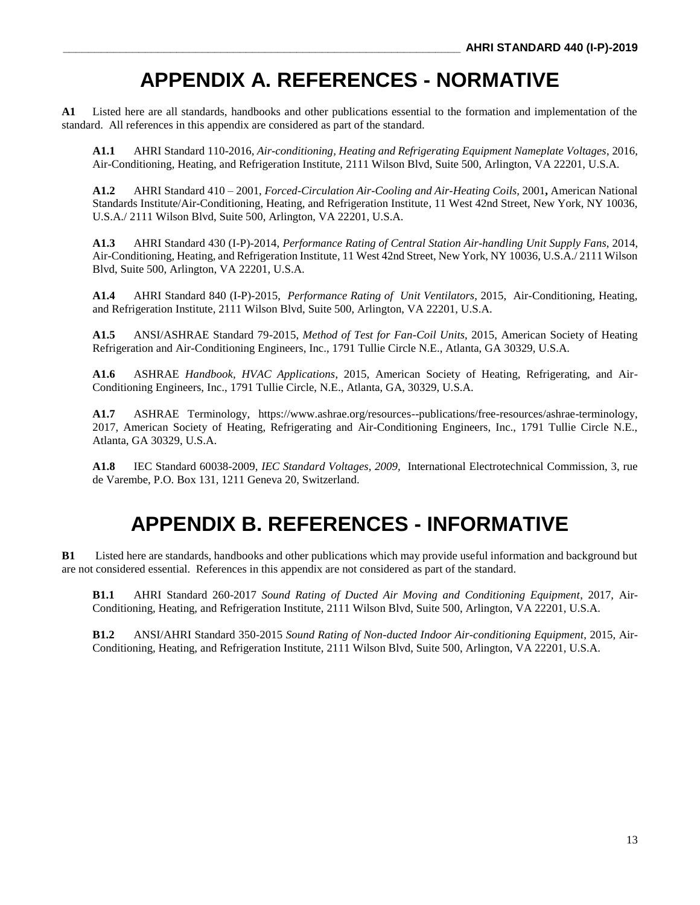# **APPENDIX A. REFERENCES - NORMATIVE**

**A1** Listed here are all standards, handbooks and other publications essential to the formation and implementation of the standard. All references in this appendix are considered as part of the standard.

**A1.1** AHRI Standard 110-2016, *Air-conditioning, Heating and Refrigerating Equipment Nameplate Voltages*, 2016, Air-Conditioning, Heating, and Refrigeration Institute, 2111 Wilson Blvd, Suite 500, Arlington, VA 22201, U.S.A.

**A1.2** AHRI Standard 410 – 2001, *Forced-Circulation Air-Cooling and Air-Heating Coils,* 2001**,** American National Standards Institute/Air-Conditioning, Heating, and Refrigeration Institute, 11 West 42nd Street, New York, NY 10036, U.S.A./ 2111 Wilson Blvd, Suite 500, Arlington, VA 22201, U.S.A.

**A1.3** AHRI Standard 430 (I-P)-2014, *Performance Rating of Central Station Air-handling Unit Supply Fans*, 2014, Air-Conditioning, Heating, and Refrigeration Institute, 11 West 42nd Street, New York, NY 10036, U.S.A./ 2111 Wilson Blvd, Suite 500, Arlington, VA 22201, U.S.A.

**A1.4** AHRI Standard 840 (I-P)-2015, *Performance Rating of Unit Ventilators*, 2015, Air-Conditioning, Heating, and Refrigeration Institute, 2111 Wilson Blvd, Suite 500, Arlington, VA 22201, U.S.A.

**A1.5** ANSI/ASHRAE Standard 79-2015, *Method of Test for Fan-Coil Units*, 2015, American Society of Heating Refrigeration and Air-Conditioning Engineers, Inc., 1791 Tullie Circle N.E., Atlanta, GA 30329, U.S.A.

**A1.6** ASHRAE *Handbook, HVAC Applications*, 2015, American Society of Heating, Refrigerating, and Air-Conditioning Engineers, Inc., 1791 Tullie Circle, N.E., Atlanta, GA, 30329, U.S.A.

**A1.7** ASHRAE Terminology, https://www.ashrae.org/resources--publications/free-resources/ashrae-terminology, 2017, American Society of Heating, Refrigerating and Air-Conditioning Engineers, Inc., 1791 Tullie Circle N.E., Atlanta, GA 30329, U.S.A.

**A1.8** IEC Standard 60038-2009, *IEC Standard Voltages, 2009,* International Electrotechnical Commission, 3, rue de Varembe, P.O. Box 131, 1211 Geneva 20, Switzerland.

# **APPENDIX B. REFERENCES - INFORMATIVE**

**B1** Listed here are standards, handbooks and other publications which may provide useful information and background but are not considered essential. References in this appendix are not considered as part of the standard.

**B1.1** AHRI Standard 260-2017 *Sound Rating of Ducted Air Moving and Conditioning Equipment*, 2017, Air-Conditioning, Heating, and Refrigeration Institute, 2111 Wilson Blvd, Suite 500, Arlington, VA 22201, U.S.A.

**B1.2** ANSI/AHRI Standard 350-2015 *Sound Rating of Non-ducted Indoor Air-conditioning Equipment*, 2015, Air-Conditioning, Heating, and Refrigeration Institute, 2111 Wilson Blvd, Suite 500, Arlington, VA 22201, U.S.A.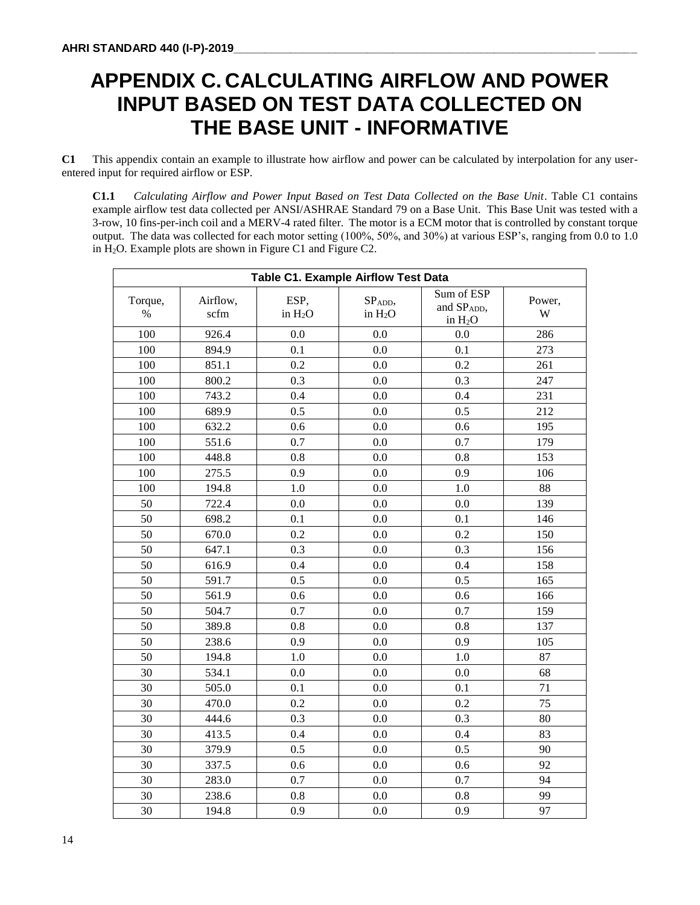# **APPENDIX C. CALCULATING AIRFLOW AND POWER INPUT BASED ON TEST DATA COLLECTED ON THE BASE UNIT - INFORMATIVE**

**C1** This appendix contain an example to illustrate how airflow and power can be calculated by interpolation for any userentered input for required airflow or ESP.

**C1.1** *Calculating Airflow and Power Input Based on Test Data Collected on the Base Unit*. Table C1 contains example airflow test data collected per ANSI/ASHRAE Standard 79 on a Base Unit. This Base Unit was tested with a 3-row, 10 fins-per-inch coil and a MERV-4 rated filter. The motor is a ECM motor that is controlled by constant torque output. The data was collected for each motor setting (100%, 50%, and 30%) at various ESP's, ranging from 0.0 to 1.0 in H2O. Example plots are shown in Figure C1 and Figure C2.

| <b>Table C1. Example Airflow Test Data</b> |                  |                   |                     |                                       |             |
|--------------------------------------------|------------------|-------------------|---------------------|---------------------------------------|-------------|
| Torque,<br>$\%$                            | Airflow,<br>scfm | ESP,<br>in $H_2O$ | SPADD,<br>in $H_2O$ | Sum of ESP<br>and SPADD,<br>in $H_2O$ | Power,<br>W |
| 100                                        | 926.4            | 0.0               | 0.0                 | 0.0                                   | 286         |
| 100                                        | 894.9            | 0.1               | 0.0                 | 0.1                                   | 273         |
| 100                                        | 851.1            | 0.2               | 0.0                 | 0.2                                   | 261         |
| 100                                        | 800.2            | 0.3               | 0.0                 | 0.3                                   | 247         |
| 100                                        | 743.2            | 0.4               | 0.0                 | 0.4                                   | 231         |
| 100                                        | 689.9            | 0.5               | 0.0                 | 0.5                                   | 212         |
| 100                                        | 632.2            | 0.6               | 0.0                 | 0.6                                   | 195         |
| 100                                        | 551.6            | 0.7               | 0.0                 | 0.7                                   | 179         |
| 100                                        | 448.8            | 0.8               | 0.0                 | 0.8                                   | 153         |
| 100                                        | 275.5            | 0.9               | 0.0                 | 0.9                                   | 106         |
| 100                                        | 194.8            | 1.0               | 0.0                 | 1.0                                   | 88          |
| 50                                         | 722.4            | 0.0               | 0.0                 | 0.0                                   | 139         |
| 50                                         | 698.2            | 0.1               | 0.0                 | 0.1                                   | 146         |
| 50                                         | 670.0            | 0.2               | 0.0                 | 0.2                                   | 150         |
| 50                                         | 647.1            | 0.3               | 0.0                 | 0.3                                   | 156         |
| 50                                         | 616.9            | 0.4               | 0.0                 | 0.4                                   | 158         |
| 50                                         | 591.7            | 0.5               | 0.0                 | 0.5                                   | 165         |
| 50                                         | 561.9            | 0.6               | 0.0                 | 0.6                                   | 166         |
| 50                                         | 504.7            | 0.7               | 0.0                 | 0.7                                   | 159         |
| 50                                         | 389.8            | 0.8               | 0.0                 | 0.8                                   | 137         |
| 50                                         | 238.6            | 0.9               | 0.0                 | 0.9                                   | 105         |
| 50                                         | 194.8            | $1.0\,$           | 0.0                 | 1.0                                   | 87          |
| 30                                         | 534.1            | 0.0               | 0.0                 | 0.0                                   | 68          |
| 30                                         | 505.0            | 0.1               | 0.0                 | 0.1                                   | 71          |
| 30                                         | 470.0            | 0.2               | 0.0                 | 0.2                                   | 75          |
| 30                                         | 444.6            | 0.3               | 0.0                 | 0.3                                   | 80          |
| 30                                         | 413.5            | 0.4               | 0.0                 | 0.4                                   | 83          |
| 30                                         | 379.9            | 0.5               | 0.0                 | 0.5                                   | 90          |
| 30                                         | 337.5            | 0.6               | 0.0                 | 0.6                                   | 92          |
| 30                                         | 283.0            | 0.7               | 0.0                 | 0.7                                   | 94          |
| 30                                         | 238.6            | 0.8               | 0.0                 | 0.8                                   | 99          |
| 30                                         | 194.8            | 0.9               | 0.0                 | 0.9                                   | 97          |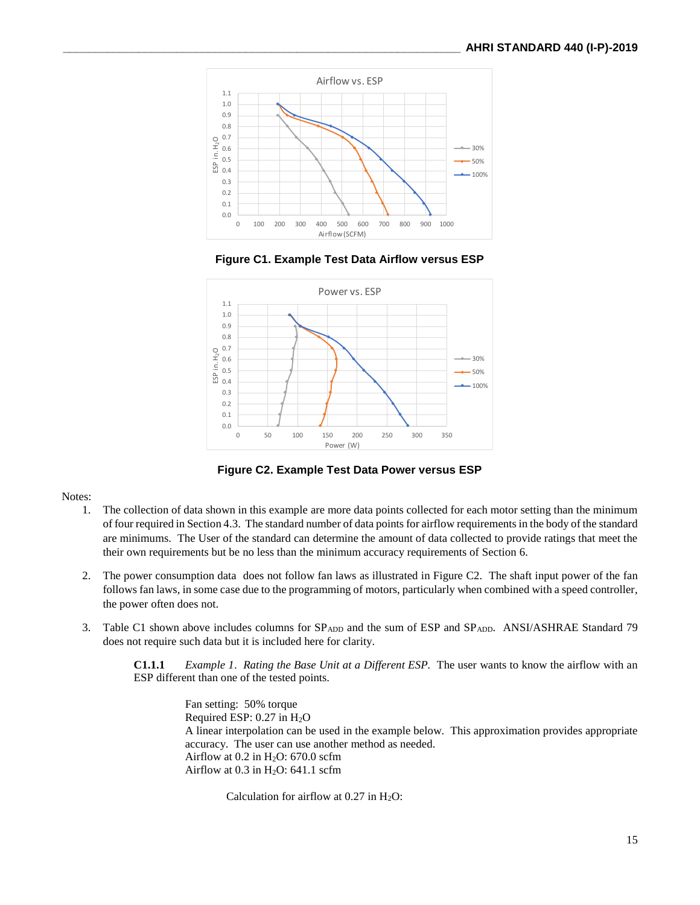

**Figure C1. Example Test Data Airflow versus ESP**



**Figure C2. Example Test Data Power versus ESP**

#### Notes:

- 1. The collection of data shown in this example are more data points collected for each motor setting than the minimum of four required in Section 4.3. The standard number of data points for airflow requirements in the body of the standard are minimums. The User of the standard can determine the amount of data collected to provide ratings that meet the their own requirements but be no less than the minimum accuracy requirements of Section 6.
- 2. The power consumption data does not follow fan laws as illustrated in Figure C2. The shaft input power of the fan follows fan laws, in some case due to the programming of motors, particularly when combined with a speed controller, the power often does not.
- 3. Table C1 shown above includes columns for SP<sub>ADD</sub> and the sum of ESP and SP<sub>ADD</sub>. ANSI/ASHRAE Standard 79 does not require such data but it is included here for clarity.

**C1.1.1** *Example 1*. *Rating the Base Unit at a Different ESP.* The user wants to know the airflow with an ESP different than one of the tested points.

> Fan setting: 50% torque Required ESP:  $0.27$  in  $H<sub>2</sub>O$ A linear interpolation can be used in the example below. This approximation provides appropriate accuracy. The user can use another method as needed. Airflow at  $0.2$  in H<sub>2</sub>O: 670.0 scfm Airflow at  $0.3$  in H<sub>2</sub>O: 641.1 scfm

Calculation for airflow at  $0.27$  in  $H_2O$ :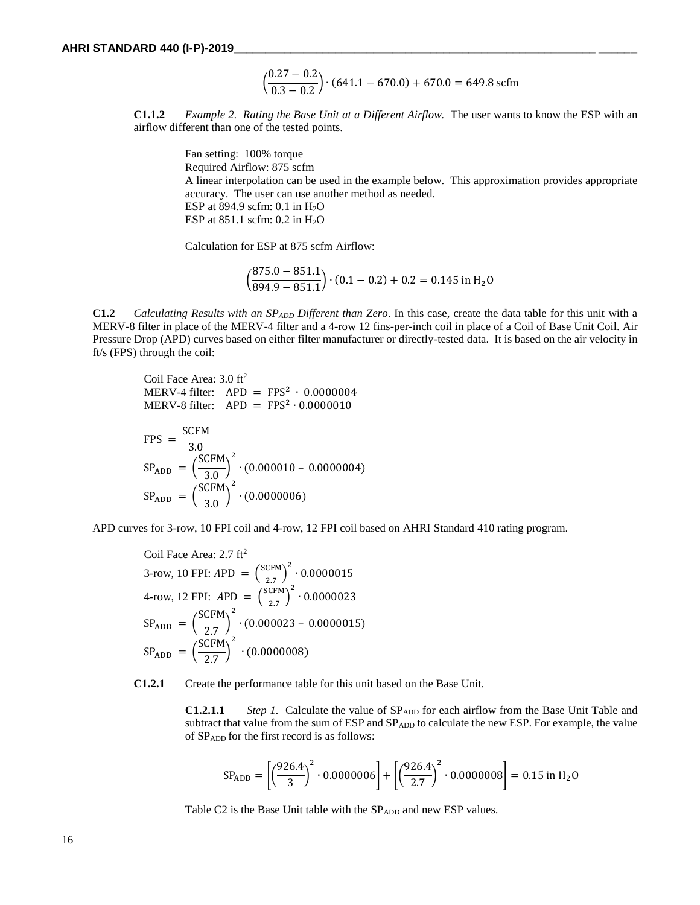$$
\left(\frac{0.27 - 0.2}{0.3 - 0.2}\right) \cdot (641.1 - 670.0) + 670.0 = 649.8 \text{ scfm}
$$

**C1.1.2** *Example 2. Rating the Base Unit at a Different Airflow.* The user wants to know the ESP with an airflow different than one of the tested points.

> Fan setting: 100% torque Required Airflow: 875 scfm A linear interpolation can be used in the example below. This approximation provides appropriate accuracy. The user can use another method as needed. ESP at 894.9 scfm: 0.1 in H2O ESP at 851.1 scfm: 0.2 in H2O

Calculation for ESP at 875 scfm Airflow:

$$
\left(\frac{875.0 - 851.1}{894.9 - 851.1}\right) \cdot (0.1 - 0.2) + 0.2 = 0.145 \text{ in H}_2\text{O}
$$

**C1.2** *Calculating Results with an SPADD Different than Zero*. In this case, create the data table for this unit with a MERV-8 filter in place of the MERV-4 filter and a 4-row 12 fins-per-inch coil in place of a Coil of Base Unit Coil. Air Pressure Drop (APD) curves based on either filter manufacturer or directly-tested data. It is based on the air velocity in ft/s (FPS) through the coil:

Coil Face Area: 3.0 ft<sup>2</sup>  $MERV-4$  filter:  $APD = FPS^2 \cdot 0.0000004$  $MERV-8$  filter:  $APD = FPS^2 \cdot 0.0000010$ 

$$
FPS = \frac{SCFM}{3.0}
$$
  
\n
$$
SP_{ADD} = \left(\frac{SCFM}{3.0}\right)^{2} \cdot (0.000010 - 0.0000004)
$$
  
\n
$$
SP_{ADD} = \left(\frac{SCFM}{3.0}\right)^{2} \cdot (0.0000006)
$$

APD curves for 3-row, 10 FPI coil and 4-row, 12 FPI coil based on AHRI Standard 410 rating program.

Coil Face Area: 2.7 ft<sup>2</sup>  
\n3-row, 10 FPI: APD = 
$$
\left(\frac{SCFM}{2.7}\right)^2 \cdot 0.0000015
$$
  
\n4-row, 12 FPI: APD =  $\left(\frac{SCFM}{2.7}\right)^2 \cdot 0.0000023$   
\n $SP_{ADD} = \left(\frac{SCFM}{2.7}\right)^2 \cdot (0.000023 - 0.0000015)$   
\n $SP_{ADD} = \left(\frac{SCFM}{2.7}\right)^2 \cdot (0.0000008)$ 

**C1.2.1** Create the performance table for this unit based on the Base Unit.

**C1.2.1.1** *Step 1.* Calculate the value of SP<sub>ADD</sub> for each airflow from the Base Unit Table and subtract that value from the sum of ESP and SP<sub>ADD</sub> to calculate the new ESP. For example, the value of SPADD for the first record is as follows:

$$
SP_{ADD} = \left[ \left( \frac{926.4}{3} \right)^2 \cdot 0.0000006 \right] + \left[ \left( \frac{926.4}{2.7} \right)^2 \cdot 0.0000008 \right] = 0.15 \text{ in } H_2O
$$

Table C2 is the Base Unit table with the SP<sub>ADD</sub> and new ESP values.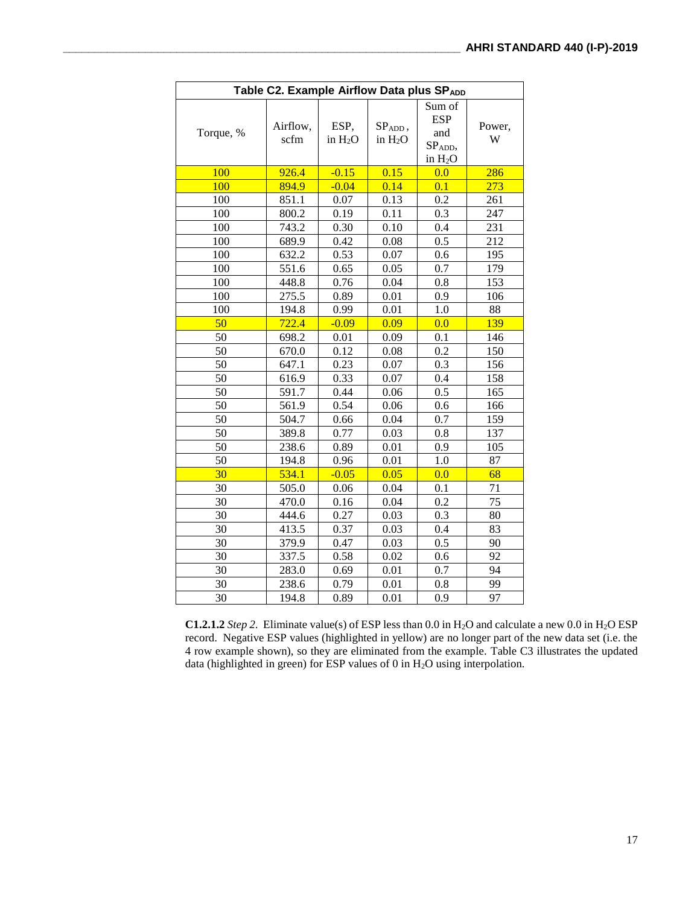| Table C2. Example Airflow Data plus SPADD |                  |                   |                        |                                                               |             |
|-------------------------------------------|------------------|-------------------|------------------------|---------------------------------------------------------------|-------------|
| Torque, %                                 | Airflow,<br>scfm | ESP,<br>in $H_2O$ | $SPADD$ ,<br>in $H_2O$ | Sum of<br><b>ESP</b><br>and<br>SP <sub>ADD</sub><br>in $H_2O$ | Power,<br>W |
| 100                                       | 926.4            | $-0.15$           | 0.15                   | 0.0                                                           | 286         |
| 100                                       | 894.9            | $-0.04$           | 0.14                   | 0.1                                                           | 273         |
| 100                                       | 851.1            | 0.07              | 0.13                   | 0.2                                                           | 261         |
| 100                                       | 800.2            | 0.19              | 0.11                   | 0.3                                                           | 247         |
| 100                                       | 743.2            | 0.30              | 0.10                   | 0.4                                                           | 231         |
| 100                                       | 689.9            | 0.42              | 0.08                   | 0.5                                                           | 212         |
| 100                                       | 632.2            | 0.53              | 0.07                   | 0.6                                                           | 195         |
| 100                                       | 551.6            | 0.65              | 0.05                   | 0.7                                                           | 179         |
| 100                                       | 448.8            | 0.76              | 0.04                   | 0.8                                                           | 153         |
| 100                                       | 275.5            | 0.89              | 0.01                   | 0.9                                                           | 106         |
| 100                                       | 194.8            | 0.99              | 0.01                   | 1.0                                                           | 88          |
| 50                                        | 722.4            | $-0.09$           | 0.09                   | 0.0                                                           | 139         |
| 50                                        | 698.2            | 0.01              | 0.09                   | 0.1                                                           | 146         |
| 50                                        | 670.0            | 0.12              | 0.08                   | 0.2                                                           | 150         |
| 50                                        | 647.1            | 0.23              | 0.07                   | 0.3                                                           | 156         |
| 50                                        | 616.9            | 0.33              | 0.07                   | 0.4                                                           | 158         |
| 50                                        | 591.7            | 0.44              | 0.06                   | 0.5                                                           | 165         |
| 50                                        | 561.9            | 0.54              | 0.06                   | 0.6                                                           | 166         |
| 50                                        | 504.7            | 0.66              | 0.04                   | 0.7                                                           | 159         |
| 50                                        | 389.8            | 0.77              | 0.03                   | 0.8                                                           | 137         |
| 50                                        | 238.6            | 0.89              | 0.01                   | 0.9                                                           | 105         |
| 50                                        | 194.8            | 0.96              | 0.01                   | 1.0                                                           | 87          |
| 30                                        | 534.1            | $-0.05$           | 0.05                   | 0.0                                                           | 68          |
| 30                                        | 505.0            | 0.06              | 0.04                   | 0.1                                                           | 71          |
| 30                                        | 470.0            | 0.16              | 0.04                   | 0.2                                                           | 75          |
| 30                                        | 444.6            | 0.27              | 0.03                   | 0.3                                                           | 80          |
| 30                                        | 413.5            | 0.37              | 0.03                   | 0.4                                                           | 83          |
| 30                                        | 379.9            | 0.47              | 0.03                   | 0.5                                                           | 90          |
| 30                                        | 337.5            | 0.58              | 0.02                   | 0.6                                                           | 92          |
| 30                                        | 283.0            | 0.69              | 0.01                   | 0.7                                                           | 94          |
| 30                                        | 238.6            | 0.79              | 0.01                   | 0.8                                                           | 99          |
| 30                                        | 194.8            | 0.89              | 0.01                   | 0.9                                                           | 97          |

**C1.2.1.2** *Step 2.* Eliminate value(s) of ESP less than 0.0 in H2O and calculate a new 0.0 in H2O ESP record. Negative ESP values (highlighted in yellow) are no longer part of the new data set (i.e. the 4 row example shown), so they are eliminated from the example. Table C3 illustrates the updated data (highlighted in green) for ESP values of 0 in H<sub>2</sub>O using interpolation.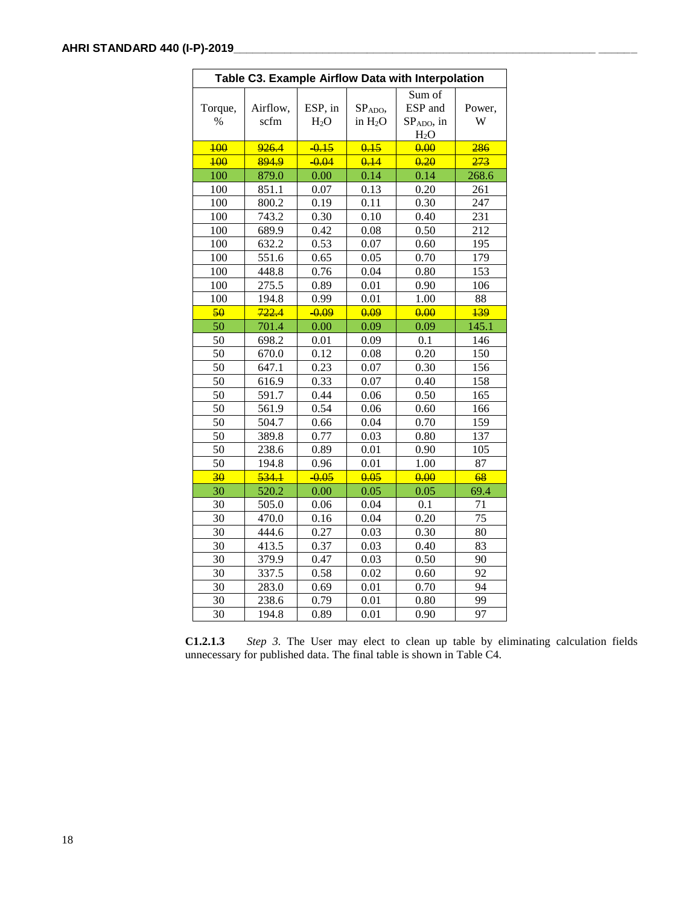| Table C3. Example Airflow Data with Interpolation |                  |                             |                               |                                          |             |
|---------------------------------------------------|------------------|-----------------------------|-------------------------------|------------------------------------------|-------------|
| Torque,<br>$\%$                                   | Airflow,<br>scfm | ESP, in<br>H <sub>2</sub> O | SPADO,<br>in H <sub>2</sub> O | Sum of<br>ESP and<br>SPADO, in<br>$H_2O$ | Power,<br>W |
| 400                                               | 926.4            | $-0.15$                     | 0.15                          | 0.00                                     | 286         |
| 100                                               | 894.9            | $-0.04$                     | 0.14                          | 0.20                                     | 273         |
| 100                                               | 879.0            | 0.00                        | 0.14                          | 0.14                                     | 268.6       |
| 100                                               | 851.1            | 0.07                        | 0.13                          | 0.20                                     | 261         |
| 100                                               | 800.2            | 0.19                        | 0.11                          | 0.30                                     | 247         |
| 100                                               | 743.2            | 0.30                        | 0.10                          | 0.40                                     | 231         |
| 100                                               | 689.9            | 0.42                        | 0.08                          | 0.50                                     | 212         |
| 100                                               | 632.2            | 0.53                        | 0.07                          | 0.60                                     | 195         |
| 100                                               | 551.6            | 0.65                        | 0.05                          | 0.70                                     | 179         |
| 100                                               | 448.8            | 0.76                        | 0.04                          | 0.80                                     | 153         |
| 100                                               | 275.5            | 0.89                        | 0.01                          | 0.90                                     | 106         |
| 100                                               | 194.8            | 0.99                        | 0.01                          | 1.00                                     | 88          |
| 50                                                | 722.4            | $-0.09$                     | 0.09                          | 0.00                                     | 139         |
| 50                                                | 701.4            | 0.00                        | 0.09                          | 0.09                                     | 145.1       |
| 50                                                | 698.2            | 0.01                        | 0.09                          | 0.1                                      | 146         |
| 50                                                | 670.0            | 0.12                        | 0.08                          | 0.20                                     | 150         |
| 50                                                | 647.1            | 0.23                        | $0.07\,$                      | 0.30                                     | 156         |
| 50                                                | 616.9            | 0.33                        | 0.07                          | 0.40                                     | 158         |
| 50                                                | 591.7            | 0.44                        | 0.06                          | 0.50                                     | 165         |
| 50                                                | 561.9            | 0.54                        | 0.06                          | 0.60                                     | 166         |
| 50                                                | 504.7            | 0.66                        | 0.04                          | 0.70                                     | 159         |
| 50                                                | 389.8            | 0.77                        | 0.03                          | 0.80                                     | 137         |
| 50                                                | 238.6            | 0.89                        | 0.01                          | 0.90                                     | 105         |
| 50                                                | 194.8            | 0.96                        | 0.01                          | 1.00                                     | 87          |
| 30                                                | 534.1            | $-0.05$                     | 0.05                          | 0.00                                     | 68          |
| 30                                                | 520.2            | 0.00                        | 0.05                          | 0.05                                     | 69.4        |
| 30                                                | 505.0            | 0.06                        | 0.04                          | 0.1                                      | 71          |
| 30                                                | 470.0            | 0.16                        | 0.04                          | 0.20                                     | 75          |
| 30                                                | 444.6            | 0.27                        | 0.03                          | 0.30                                     | 80          |
| 30                                                | 413.5            | 0.37                        | 0.03                          | 0.40                                     | 83          |
| 30                                                | 379.9            | 0.47                        | 0.03                          | 0.50                                     | 90          |
| 30                                                | 337.5            | 0.58                        | 0.02                          | 0.60                                     | 92          |
| 30                                                | 283.0            | 0.69                        | 0.01                          | 0.70                                     | 94          |
| 30                                                | 238.6            | 0.79                        | 0.01                          | 0.80                                     | 99          |
| 30                                                | 194.8            | 0.89                        | 0.01                          | 0.90                                     | 97          |

**C1.2.1.3** *Step 3.* The User may elect to clean up table by eliminating calculation fields unnecessary for published data. The final table is shown in Table C4.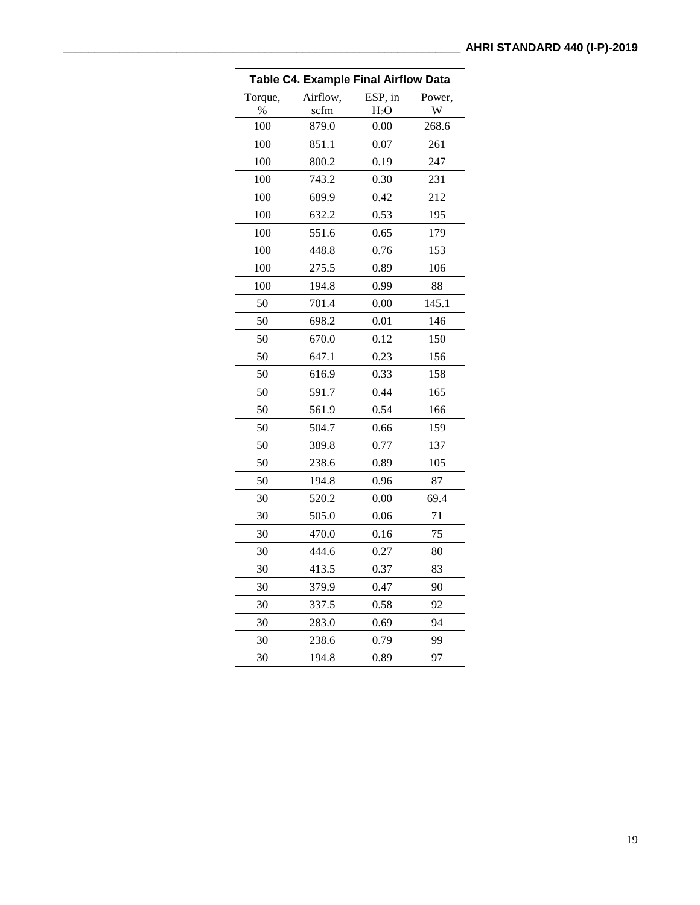| <b>Table C4. Example Final Airflow Data</b> |          |         |        |  |
|---------------------------------------------|----------|---------|--------|--|
| Torque,                                     | Airflow, | ESP, in | Power. |  |
| $\%$                                        | scfm     | $H_2O$  | W      |  |
| 100                                         | 879.0    | 0.00    | 268.6  |  |
| 100                                         | 851.1    | 0.07    | 261    |  |
| 100                                         | 800.2    | 0.19    | 247    |  |
| 100                                         | 743.2    | 0.30    | 231    |  |
| 100                                         | 689.9    | 0.42    | 212    |  |
| 100                                         | 632.2    | 0.53    | 195    |  |
| 100                                         | 551.6    | 0.65    | 179    |  |
| 100                                         | 448.8    | 0.76    | 153    |  |
| 100                                         | 275.5    | 0.89    | 106    |  |
| 100                                         | 194.8    | 0.99    | 88     |  |
| 50                                          | 701.4    | 0.00    | 145.1  |  |
| 50                                          | 698.2    | 0.01    | 146    |  |
| 50                                          | 670.0    | 0.12    | 150    |  |
| 50                                          | 647.1    | 0.23    | 156    |  |
| 50                                          | 616.9    | 0.33    | 158    |  |
| 50                                          | 591.7    | 0.44    | 165    |  |
| 50                                          | 561.9    | 0.54    | 166    |  |
| 50                                          | 504.7    | 0.66    | 159    |  |
| 50                                          | 389.8    | 0.77    | 137    |  |
| 50                                          | 238.6    | 0.89    | 105    |  |
| 50                                          | 194.8    | 0.96    | 87     |  |
| 30                                          | 520.2    | 0.00    | 69.4   |  |
| 30                                          | 505.0    | 0.06    | 71     |  |
| 30                                          | 470.0    | 0.16    | 75     |  |
| 30                                          | 444.6    | 0.27    | 80     |  |
| 30                                          | 413.5    | 0.37    | 83     |  |
| 30                                          | 379.9    | 0.47    | 90     |  |
| 30                                          | 337.5    | 0.58    | 92     |  |
| 30                                          | 283.0    | 0.69    | 94     |  |
| 30                                          | 238.6    | 0.79    | 99     |  |
| 30                                          | 194.8    | 0.89    | 97     |  |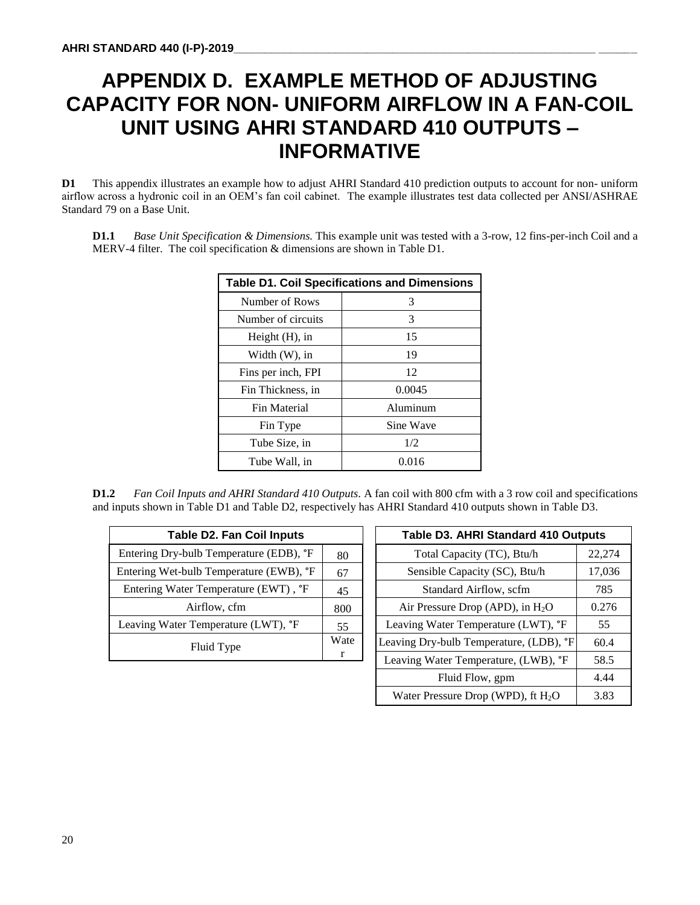# **APPENDIX D. EXAMPLE METHOD OF ADJUSTING CAPACITY FOR NON- UNIFORM AIRFLOW IN A FAN-COIL UNIT USING AHRI STANDARD 410 OUTPUTS – INFORMATIVE**

**D1** This appendix illustrates an example how to adjust AHRI Standard 410 prediction outputs to account for non- uniform airflow across a hydronic coil in an OEM's fan coil cabinet. The example illustrates test data collected per ANSI/ASHRAE Standard 79 on a Base Unit.

**D1.1** *Base Unit Specification & Dimensions.* This example unit was tested with a 3-row, 12 fins-per-inch Coil and a MERV-4 filter. The coil specification & dimensions are shown in Table D1.

| <b>Table D1. Coil Specifications and Dimensions</b> |           |  |
|-----------------------------------------------------|-----------|--|
| Number of Rows                                      | 3         |  |
| Number of circuits                                  | 3         |  |
| Height $(H)$ , in                                   | 15        |  |
| Width $(W)$ , in                                    | 19        |  |
| Fins per inch, FPI                                  | 12        |  |
| Fin Thickness, in                                   | 0.0045    |  |
| <b>Fin Material</b>                                 | Aluminum  |  |
| Fin Type                                            | Sine Wave |  |
| Tube Size, in                                       | 1/2       |  |
| Tube Wall, in                                       | 0.016     |  |

**D1.2** *Fan Coil Inputs and AHRI Standard 410 Outputs.* A fan coil with 800 cfm with a 3 row coil and specifications and inputs shown in Table D1 and Table D2, respectively has AHRI Standard 410 outputs shown in Table D3.

| <b>Table D2. Fan Coil Inputs</b>            |    |
|---------------------------------------------|----|
| Entering Dry-bulb Temperature (EDB), °F     | 80 |
| Entering Wet-bulb Temperature (EWB), °F     | 67 |
| Entering Water Temperature (EWT), °F        | 45 |
| Airflow, cfm                                |    |
| Leaving Water Temperature (LWT), <i>P</i> F | 55 |
| Fluid Type                                  |    |

| Table D3. AHRI Standard 410 Outputs     |        |
|-----------------------------------------|--------|
| Total Capacity (TC), Btu/h              | 22,274 |
| Sensible Capacity (SC), Btu/h           | 17,036 |
| Standard Airflow, scfm                  | 785    |
| Air Pressure Drop (APD), in $H_2O$      | 0.276  |
| Leaving Water Temperature (LWT), °F     | 55     |
| Leaving Dry-bulb Temperature, (LDB), °F | 60.4   |
| Leaving Water Temperature, (LWB), °F    | 58.5   |
| Fluid Flow, gpm                         | 4.44   |
| Water Pressure Drop (WPD), ft $H_2O$    | 3.83   |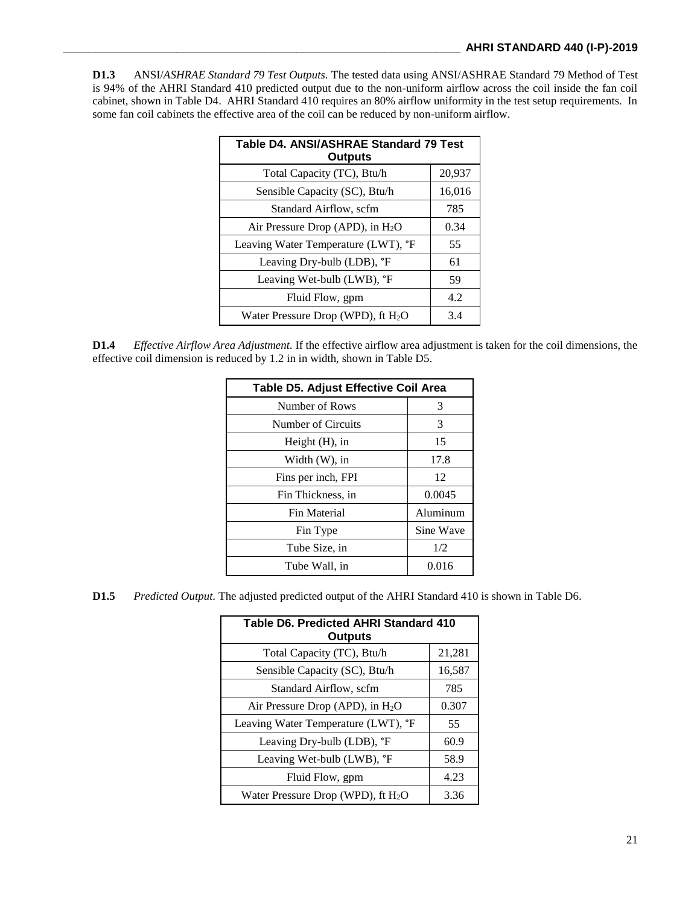**D1.3** ANSI/*ASHRAE Standard 79 Test Outputs.* The tested data using ANSI/ASHRAE Standard 79 Method of Test is 94% of the AHRI Standard 410 predicted output due to the non-uniform airflow across the coil inside the fan coil cabinet, shown in Table D4. AHRI Standard 410 requires an 80% airflow uniformity in the test setup requirements. In some fan coil cabinets the effective area of the coil can be reduced by non-uniform airflow.

| Table D4. ANSI/ASHRAE Standard 79 Test<br><b>Outputs</b> |        |
|----------------------------------------------------------|--------|
| Total Capacity (TC), Btu/h                               | 20,937 |
| Sensible Capacity (SC), Btu/h                            | 16,016 |
| Standard Airflow, scfm                                   | 785    |
| Air Pressure Drop (APD), in $H_2O$                       | 0.34   |
| Leaving Water Temperature (LWT), °F                      | 55     |
| Leaving Dry-bulb (LDB), °F                               | 61     |
| Leaving Wet-bulb (LWB), °F                               | 59     |
| Fluid Flow, gpm                                          | 4.2    |
| Water Pressure Drop (WPD), ft $H_2O$                     | 3.4    |

**D1.4** *Effective Airflow Area Adjustment.* If the effective airflow area adjustment is taken for the coil dimensions, the effective coil dimension is reduced by 1.2 in in width, shown in Table D5.

| <b>Table D5. Adjust Effective Coil Area</b> |           |  |
|---------------------------------------------|-----------|--|
| Number of Rows                              | 3         |  |
| Number of Circuits                          | 3         |  |
| Height $(H)$ , in                           | 15        |  |
| Width $(W)$ , in                            | 17.8      |  |
| Fins per inch, FPI                          | 12        |  |
| Fin Thickness, in                           | 0.0045    |  |
| Fin Material                                | Aluminum  |  |
| Fin Type                                    | Sine Wave |  |
| Tube Size, in                               | 1/2       |  |
| Tube Wall, in                               | 0.016     |  |

**D1.5** *Predicted Output.* The adjusted predicted output of the AHRI Standard 410 is shown in Table D6.

| Table D6. Predicted AHRI Standard 410<br><b>Outputs</b> |        |  |
|---------------------------------------------------------|--------|--|
| Total Capacity (TC), Btu/h                              | 21,281 |  |
| Sensible Capacity (SC), Btu/h                           | 16,587 |  |
| Standard Airflow, scfm                                  | 785    |  |
| Air Pressure Drop (APD), in $H_2O$                      | 0.307  |  |
| Leaving Water Temperature (LWT), °F                     | 55     |  |
| Leaving Dry-bulb (LDB), <i>"F</i>                       | 60.9   |  |
| Leaving Wet-bulb (LWB), °F                              | 58.9   |  |
| Fluid Flow, gpm                                         | 4.23   |  |
| Water Pressure Drop (WPD), ft $H_2O$                    | 3.36   |  |